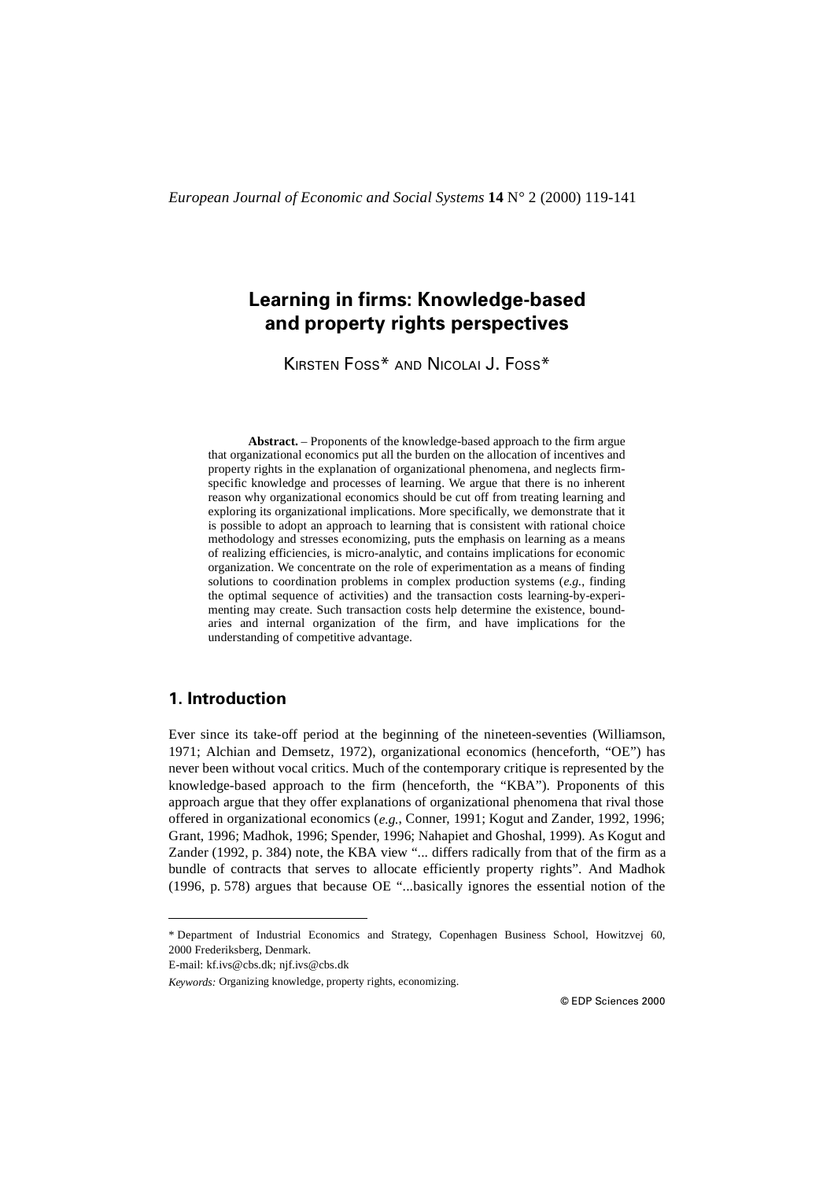# **Learning in firms: Knowledge-based and property rights perspectives**

KIRSTEN FOSS\* AND NICOLAI J. FOSS\*

**Abstract.** – Proponents of the knowledge-based approach to the firm argue that organizational economics put all the burden on the allocation of incentives and property rights in the explanation of organizational phenomena, and neglects firmspecific knowledge and processes of learning. We argue that there is no inherent reason why organizational economics should be cut off from treating learning and exploring its organizational implications. More specifically, we demonstrate that it is possible to adopt an approach to learning that is consistent with rational choice methodology and stresses economizing, puts the emphasis on learning as a means of realizing efficiencies, is micro-analytic, and contains implications for economic organization. We concentrate on the role of experimentation as a means of finding solutions to coordination problems in complex production systems (*e.g.*, finding the optimal sequence of activities) and the transaction costs learning-by-experimenting may create. Such transaction costs help determine the existence, boundaries and internal organization of the firm, and have implications for the understanding of competitive advantage.

# **1. Introduction**

Ever since its take-off period at the beginning of the nineteen-seventies (Williamson, 1971; Alchian and Demsetz, 1972), organizational economics (henceforth, "OE") has never been without vocal critics. Much of the contemporary critique is represented by the knowledge-based approach to the firm (henceforth, the "KBA"). Proponents of this approach argue that they offer explanations of organizational phenomena that rival those offered in organizational economics (*e.g.*, Conner, 1991; Kogut and Zander, 1992, 1996; Grant, 1996; Madhok, 1996; Spender, 1996; Nahapiet and Ghoshal, 1999). As Kogut and Zander (1992, p. 384) note, the KBA view "... differs radically from that of the firm as a bundle of contracts that serves to allocate efficiently property rights". And Madhok (1996, p. 578) argues that because OE "...basically ignores the essential notion of the

<sup>\*</sup> Department of Industrial Economics and Strategy, Copenhagen Business School, Howitzvej 60, 2000 Frederiksberg, Denmark.

E-mail: kf.ivs@cbs.dk; njf.ivs@cbs.dk

*Keywords:* Organizing knowledge, property rights, economizing.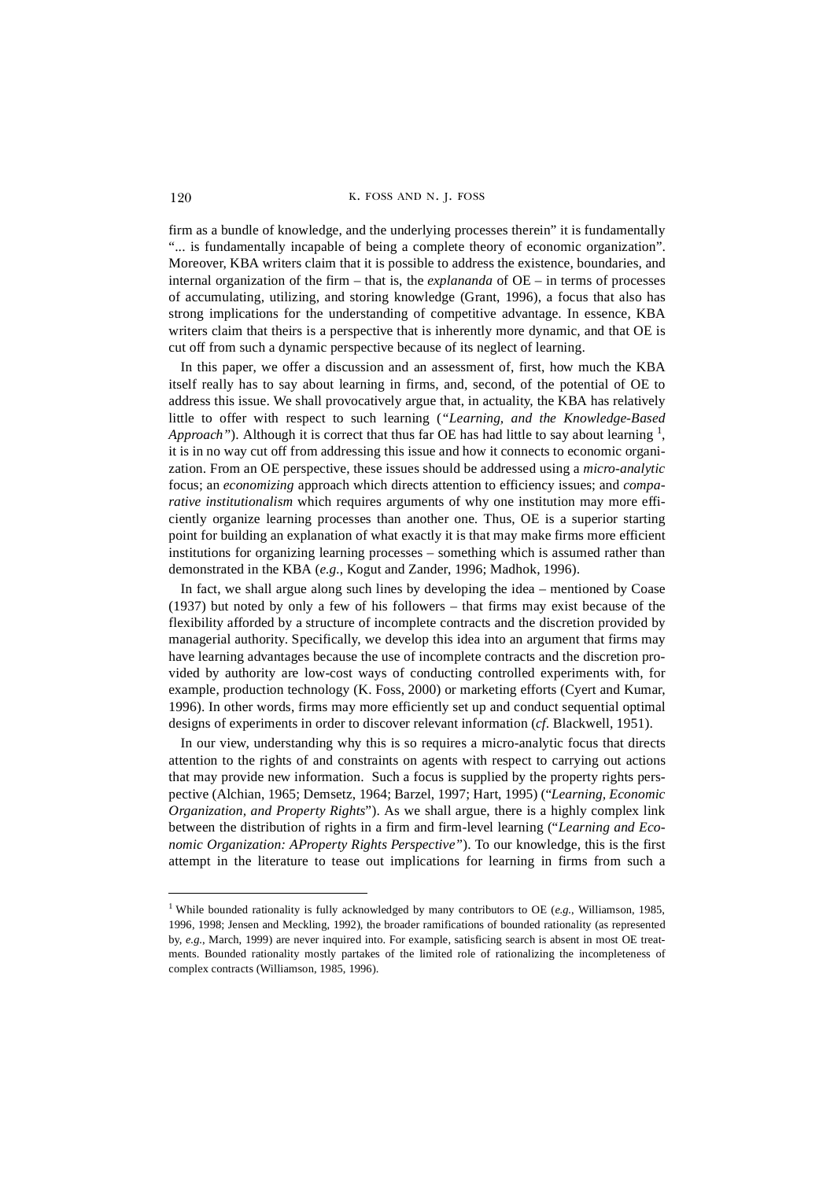firm as a bundle of knowledge, and the underlying processes therein" it is fundamentally "... is fundamentally incapable of being a complete theory of economic organization". Moreover, KBA writers claim that it is possible to address the existence, boundaries, and internal organization of the firm – that is, the *explananda* of OE – in terms of processes of accumulating, utilizing, and storing knowledge (Grant, 1996), a focus that also has strong implications for the understanding of competitive advantage. In essence, KBA writers claim that theirs is a perspective that is inherently more dynamic, and that OE is cut off from such a dynamic perspective because of its neglect of learning.

In this paper, we offer a discussion and an assessment of, first, how much the KBA itself really has to say about learning in firms, and, second, of the potential of OE to address this issue. We shall provocatively argue that, in actuality, the KBA has relatively little to offer with respect to such learning (*"Learning, and the Knowledge-Based* Approach"). Although it is correct that thus far OE has had little to say about learning <sup>1</sup>, it is in no way cut off from addressing this issue and how it connects to economic organization. From an OE perspective, these issues should be addressed using a *micro-analytic* focus; an *economizing* approach which directs attention to efficiency issues; and *comparative institutionalism* which requires arguments of why one institution may more efficiently organize learning processes than another one. Thus, OE is a superior starting point for building an explanation of what exactly it is that may make firms more efficient institutions for organizing learning processes – something which is assumed rather than demonstrated in the KBA (*e.g.*, Kogut and Zander, 1996; Madhok, 1996).

In fact, we shall argue along such lines by developing the idea – mentioned by Coase (1937) but noted by only a few of his followers – that firms may exist because of the flexibility afforded by a structure of incomplete contracts and the discretion provided by managerial authority. Specifically, we develop this idea into an argument that firms may have learning advantages because the use of incomplete contracts and the discretion provided by authority are low-cost ways of conducting controlled experiments with, for example, production technology (K. Foss, 2000) or marketing efforts (Cyert and Kumar, 1996). In other words, firms may more efficiently set up and conduct sequential optimal designs of experiments in order to discover relevant information (*cf*. Blackwell, 1951).

In our view, understanding why this is so requires a micro-analytic focus that directs attention to the rights of and constraints on agents with respect to carrying out actions that may provide new information. Such a focus is supplied by the property rights perspective (Alchian, 1965; Demsetz, 1964; Barzel, 1997; Hart, 1995) ("*Learning, Economic Organization, and Property Rights*"). As we shall argue, there is a highly complex link between the distribution of rights in a firm and firm-level learning ("*Learning and Economic Organization: AProperty Rights Perspective"*). To our knowledge, this is the first attempt in the literature to tease out implications for learning in firms from such a

<sup>1</sup> While bounded rationality is fully acknowledged by many contributors to OE (*e.g.*, Williamson, 1985, 1996, 1998; Jensen and Meckling, 1992), the broader ramifications of bounded rationality (as represented by, *e.g.*, March, 1999) are never inquired into. For example, satisficing search is absent in most OE treatments. Bounded rationality mostly partakes of the limited role of rationalizing the incompleteness of complex contracts (Williamson, 1985, 1996).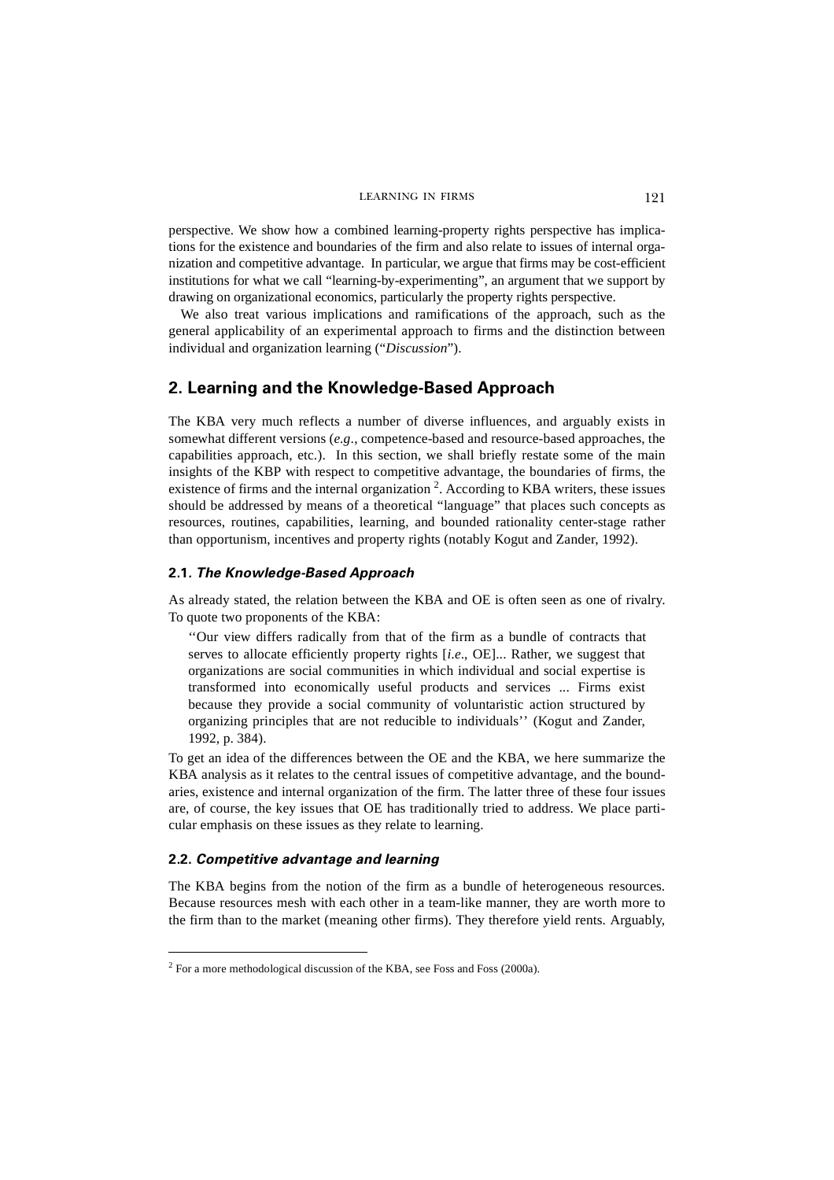perspective. We show how a combined learning-property rights perspective has implications for the existence and boundaries of the firm and also relate to issues of internal organization and competitive advantage. In particular, we argue that firms may be cost-efficient institutions for what we call "learning-by-experimenting", an argument that we support by drawing on organizational economics, particularly the property rights perspective.

We also treat various implications and ramifications of the approach, such as the general applicability of an experimental approach to firms and the distinction between individual and organization learning ("*Discussion*").

# **2. Learning and the Knowledge-Based Approach**

The KBA very much reflects a number of diverse influences, and arguably exists in somewhat different versions (*e.g*., competence-based and resource-based approaches, the capabilities approach, etc.). In this section, we shall briefly restate some of the main insights of the KBP with respect to competitive advantage, the boundaries of firms, the existence of firms and the internal organization  $2$ . According to KBA writers, these issues should be addressed by means of a theoretical "language" that places such concepts as resources, routines, capabilities, learning, and bounded rationality center-stage rather than opportunism, incentives and property rights (notably Kogut and Zander, 1992).

## **2.1***. The Knowledge-Based Approach*

As already stated, the relation between the KBA and OE is often seen as one of rivalry. To quote two proponents of the KBA:

''Our view differs radically from that of the firm as a bundle of contracts that serves to allocate efficiently property rights [*i.e*., OE]... Rather, we suggest that organizations are social communities in which individual and social expertise is transformed into economically useful products and services ... Firms exist because they provide a social community of voluntaristic action structured by organizing principles that are not reducible to individuals'' (Kogut and Zander, 1992, p. 384).

To get an idea of the differences between the OE and the KBA, we here summarize the KBA analysis as it relates to the central issues of competitive advantage, and the boundaries, existence and internal organization of the firm. The latter three of these four issues are, of course, the key issues that OE has traditionally tried to address. We place particular emphasis on these issues as they relate to learning.

## **2.2.** *Competitive advantage and learning*

The KBA begins from the notion of the firm as a bundle of heterogeneous resources. Because resources mesh with each other in a team-like manner, they are worth more to the firm than to the market (meaning other firms). They therefore yield rents. Arguably,

 $2$  For a more methodological discussion of the KBA, see Foss and Foss (2000a).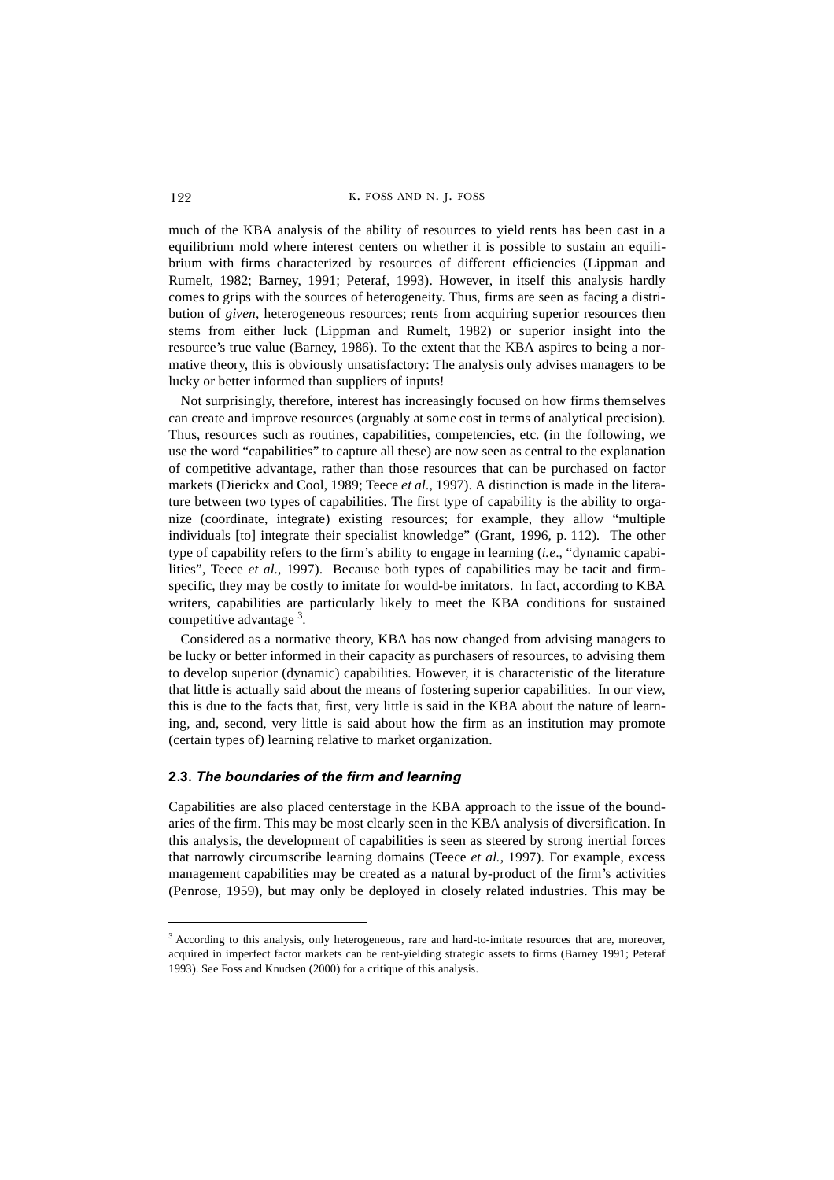much of the KBA analysis of the ability of resources to yield rents has been cast in a equilibrium mold where interest centers on whether it is possible to sustain an equilibrium with firms characterized by resources of different efficiencies (Lippman and Rumelt, 1982; Barney, 1991; Peteraf, 1993). However, in itself this analysis hardly comes to grips with the sources of heterogeneity. Thus, firms are seen as facing a distribution of *given*, heterogeneous resources; rents from acquiring superior resources then stems from either luck (Lippman and Rumelt, 1982) or superior insight into the resource's true value (Barney, 1986). To the extent that the KBA aspires to being a normative theory, this is obviously unsatisfactory: The analysis only advises managers to be lucky or better informed than suppliers of inputs!

Not surprisingly, therefore, interest has increasingly focused on how firms themselves can create and improve resources (arguably at some cost in terms of analytical precision). Thus, resources such as routines, capabilities, competencies, etc. (in the following, we use the word "capabilities" to capture all these) are now seen as central to the explanation of competitive advantage, rather than those resources that can be purchased on factor markets (Dierickx and Cool, 1989; Teece *et al.*, 1997). A distinction is made in the literature between two types of capabilities. The first type of capability is the ability to organize (coordinate, integrate) existing resources; for example, they allow "multiple individuals [to] integrate their specialist knowledge" (Grant, 1996, p. 112). The other type of capability refers to the firm's ability to engage in learning (*i.e*., "dynamic capabilities", Teece *et al.*, 1997). Because both types of capabilities may be tacit and firmspecific, they may be costly to imitate for would-be imitators. In fact, according to KBA writers, capabilities are particularly likely to meet the KBA conditions for sustained competitive advantage<sup>3</sup>.

Considered as a normative theory, KBA has now changed from advising managers to be lucky or better informed in their capacity as purchasers of resources, to advising them to develop superior (dynamic) capabilities. However, it is characteristic of the literature that little is actually said about the means of fostering superior capabilities. In our view, this is due to the facts that, first, very little is said in the KBA about the nature of learning, and, second, very little is said about how the firm as an institution may promote (certain types of) learning relative to market organization.

## **2.3.** *The boundaries of the firm and learning*

Capabilities are also placed centerstage in the KBA approach to the issue of the boundaries of the firm. This may be most clearly seen in the KBA analysis of diversification. In this analysis, the development of capabilities is seen as steered by strong inertial forces that narrowly circumscribe learning domains (Teece *et al.*, 1997). For example, excess management capabilities may be created as a natural by-product of the firm's activities (Penrose, 1959), but may only be deployed in closely related industries. This may be

<sup>3</sup> According to this analysis, only heterogeneous, rare and hard-to-imitate resources that are, moreover, acquired in imperfect factor markets can be rent-yielding strategic assets to firms (Barney 1991; Peteraf 1993). See Foss and Knudsen (2000) for a critique of this analysis.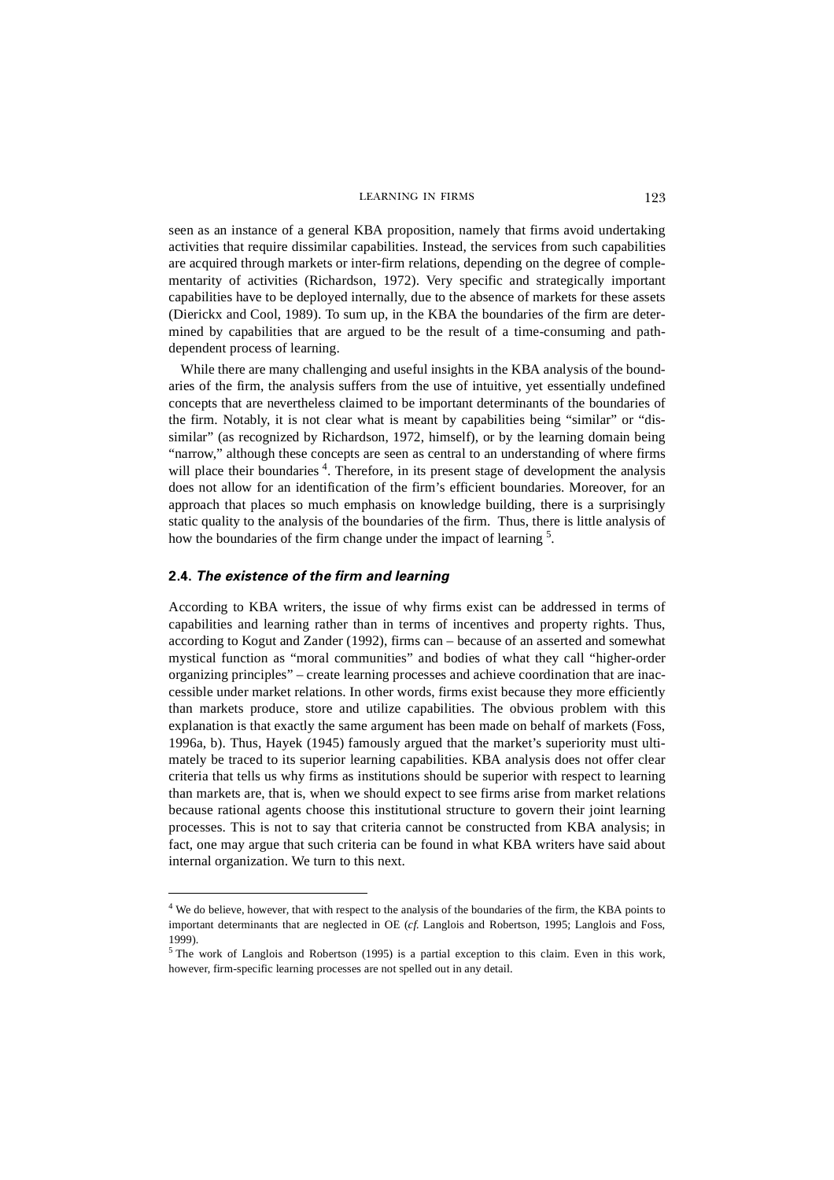seen as an instance of a general KBA proposition, namely that firms avoid undertaking activities that require dissimilar capabilities. Instead, the services from such capabilities are acquired through markets or inter-firm relations, depending on the degree of complementarity of activities (Richardson, 1972). Very specific and strategically important capabilities have to be deployed internally, due to the absence of markets for these assets (Dierickx and Cool, 1989). To sum up, in the KBA the boundaries of the firm are determined by capabilities that are argued to be the result of a time-consuming and pathdependent process of learning.

While there are many challenging and useful insights in the KBA analysis of the boundaries of the firm, the analysis suffers from the use of intuitive, yet essentially undefined concepts that are nevertheless claimed to be important determinants of the boundaries of the firm. Notably, it is not clear what is meant by capabilities being "similar" or "dissimilar" (as recognized by Richardson, 1972, himself), or by the learning domain being "narrow," although these concepts are seen as central to an understanding of where firms will place their boundaries<sup>4</sup>. Therefore, in its present stage of development the analysis does not allow for an identification of the firm's efficient boundaries. Moreover, for an approach that places so much emphasis on knowledge building, there is a surprisingly static quality to the analysis of the boundaries of the firm. Thus, there is little analysis of how the boundaries of the firm change under the impact of learning <sup>5</sup>.

#### **2.4.** *The existence of the firm and learning*

According to KBA writers, the issue of why firms exist can be addressed in terms of capabilities and learning rather than in terms of incentives and property rights. Thus, according to Kogut and Zander (1992), firms can – because of an asserted and somewhat mystical function as "moral communities" and bodies of what they call "higher-order organizing principles" – create learning processes and achieve coordination that are inaccessible under market relations. In other words, firms exist because they more efficiently than markets produce, store and utilize capabilities. The obvious problem with this explanation is that exactly the same argument has been made on behalf of markets (Foss, 1996a, b). Thus, Hayek (1945) famously argued that the market's superiority must ultimately be traced to its superior learning capabilities. KBA analysis does not offer clear criteria that tells us why firms as institutions should be superior with respect to learning than markets are, that is, when we should expect to see firms arise from market relations because rational agents choose this institutional structure to govern their joint learning processes. This is not to say that criteria cannot be constructed from KBA analysis; in fact, one may argue that such criteria can be found in what KBA writers have said about internal organization. We turn to this next.

<sup>&</sup>lt;sup>4</sup> We do believe, however, that with respect to the analysis of the boundaries of the firm, the KBA points to important determinants that are neglected in OE (*cf.* Langlois and Robertson, 1995; Langlois and Foss, 1999).

 $<sup>5</sup>$  The work of Langlois and Robertson (1995) is a partial exception to this claim. Even in this work,</sup> however, firm-specific learning processes are not spelled out in any detail.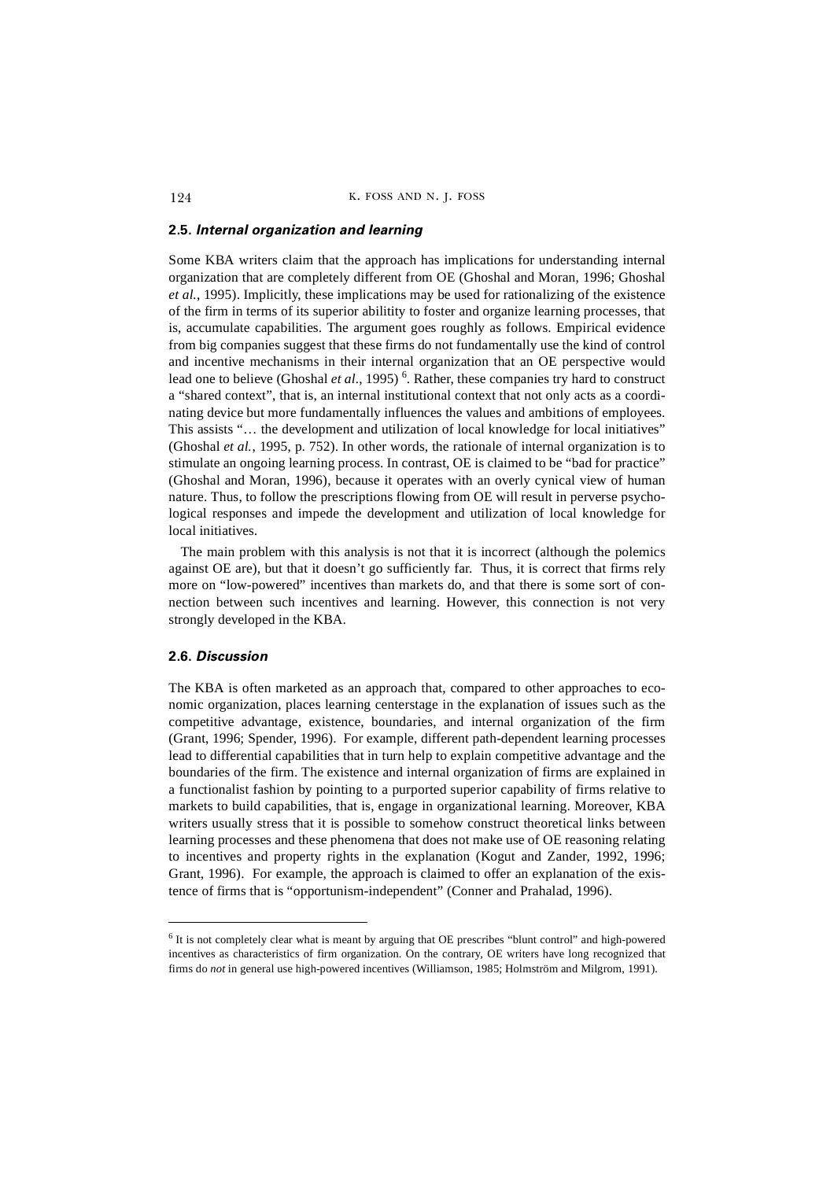#### **2.5.** *Internal organization and learning*

Some KBA writers claim that the approach has implications for understanding internal organization that are completely different from OE (Ghoshal and Moran, 1996; Ghoshal *et al.*, 1995). Implicitly, these implications may be used for rationalizing of the existence of the firm in terms of its superior abilitity to foster and organize learning processes, that is, accumulate capabilities. The argument goes roughly as follows. Empirical evidence from big companies suggest that these firms do not fundamentally use the kind of control and incentive mechanisms in their internal organization that an OE perspective would lead one to believe (Ghoshal *et al.*, 1995)<sup>6</sup>. Rather, these companies try hard to construct a "shared context", that is, an internal institutional context that not only acts as a coordinating device but more fundamentally influences the values and ambitions of employees. This assists "… the development and utilization of local knowledge for local initiatives" (Ghoshal *et al.*, 1995, p. 752). In other words, the rationale of internal organization is to stimulate an ongoing learning process. In contrast, OE is claimed to be "bad for practice" (Ghoshal and Moran, 1996), because it operates with an overly cynical view of human nature. Thus, to follow the prescriptions flowing from OE will result in perverse psychological responses and impede the development and utilization of local knowledge for local initiatives.

The main problem with this analysis is not that it is incorrect (although the polemics against OE are), but that it doesn't go sufficiently far. Thus, it is correct that firms rely more on "low-powered" incentives than markets do, and that there is some sort of connection between such incentives and learning. However, this connection is not very strongly developed in the KBA.

#### **2.6.** *Discussion*

The KBA is often marketed as an approach that, compared to other approaches to economic organization, places learning centerstage in the explanation of issues such as the competitive advantage, existence, boundaries, and internal organization of the firm (Grant, 1996; Spender, 1996). For example, different path-dependent learning processes lead to differential capabilities that in turn help to explain competitive advantage and the boundaries of the firm. The existence and internal organization of firms are explained in a functionalist fashion by pointing to a purported superior capability of firms relative to markets to build capabilities, that is, engage in organizational learning. Moreover, KBA writers usually stress that it is possible to somehow construct theoretical links between learning processes and these phenomena that does not make use of OE reasoning relating to incentives and property rights in the explanation (Kogut and Zander, 1992, 1996; Grant, 1996). For example, the approach is claimed to offer an explanation of the existence of firms that is "opportunism-independent" (Conner and Prahalad, 1996).

<sup>6</sup> It is not completely clear what is meant by arguing that OE prescribes "blunt control" and high-powered incentives as characteristics of firm organization. On the contrary, OE writers have long recognized that firms do *not* in general use high-powered incentives (Williamson, 1985; Holmström and Milgrom, 1991).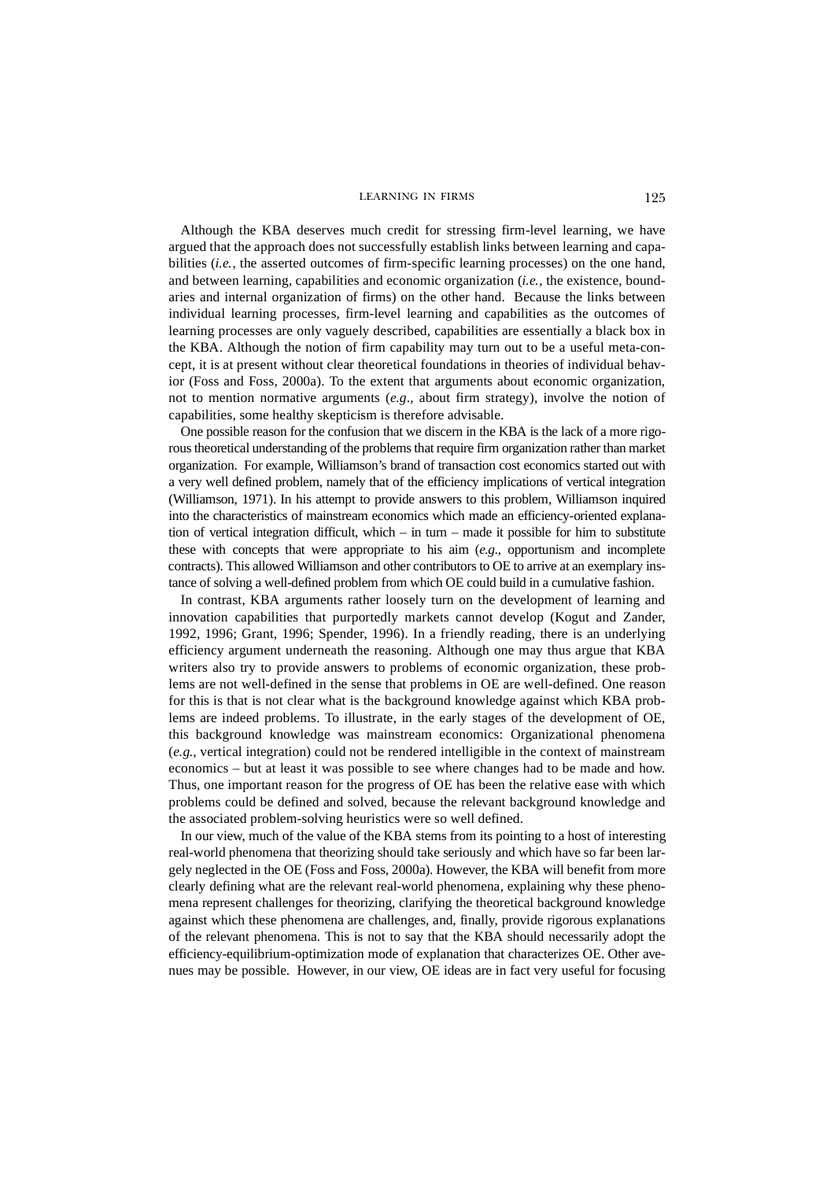Although the KBA deserves much credit for stressing firm-level learning, we have argued that the approach does not successfully establish links between learning and capabilities (*i.e.*, the asserted outcomes of firm-specific learning processes) on the one hand, and between learning, capabilities and economic organization (*i.e.*, the existence, boundaries and internal organization of firms) on the other hand. Because the links between individual learning processes, firm-level learning and capabilities as the outcomes of learning processes are only vaguely described, capabilities are essentially a black box in the KBA. Although the notion of firm capability may turn out to be a useful meta-concept, it is at present without clear theoretical foundations in theories of individual behavior (Foss and Foss, 2000a). To the extent that arguments about economic organization, not to mention normative arguments (*e.g*., about firm strategy), involve the notion of capabilities, some healthy skepticism is therefore advisable.

One possible reason for the confusion that we discern in the KBA is the lack of a more rigorous theoretical understanding of the problems that require firm organization rather than market organization. For example, Williamson's brand of transaction cost economics started out with a very well defined problem, namely that of the efficiency implications of vertical integration (Williamson, 1971). In his attempt to provide answers to this problem, Williamson inquired into the characteristics of mainstream economics which made an efficiency-oriented explanation of vertical integration difficult, which – in turn – made it possible for him to substitute these with concepts that were appropriate to his aim (*e.g.*, opportunism and incomplete contracts). This allowed Williamson and other contributors to OE to arrive at an exemplary instance of solving a well-defined problem from which OE could build in a cumulative fashion.

In contrast, KBA arguments rather loosely turn on the development of learning and innovation capabilities that purportedly markets cannot develop (Kogut and Zander, 1992, 1996; Grant, 1996; Spender, 1996). In a friendly reading, there is an underlying efficiency argument underneath the reasoning. Although one may thus argue that KBA writers also try to provide answers to problems of economic organization, these problems are not well-defined in the sense that problems in OE are well-defined. One reason for this is that is not clear what is the background knowledge against which KBA problems are indeed problems. To illustrate, in the early stages of the development of OE, this background knowledge was mainstream economics: Organizational phenomena (*e.g.*, vertical integration) could not be rendered intelligible in the context of mainstream economics – but at least it was possible to see where changes had to be made and how. Thus, one important reason for the progress of OE has been the relative ease with which problems could be defined and solved, because the relevant background knowledge and the associated problem-solving heuristics were so well defined.

In our view, much of the value of the KBA stems from its pointing to a host of interesting real-world phenomena that theorizing should take seriously and which have so far been largely neglected in the OE (Foss and Foss, 2000a). However, the KBA will benefit from more clearly defining what are the relevant real-world phenomena, explaining why these phenomena represent challenges for theorizing, clarifying the theoretical background knowledge against which these phenomena are challenges, and, finally, provide rigorous explanations of the relevant phenomena. This is not to say that the KBA should necessarily adopt the efficiency-equilibrium-optimization mode of explanation that characterizes OE. Other avenues may be possible. However, in our view, OE ideas are in fact very useful for focusing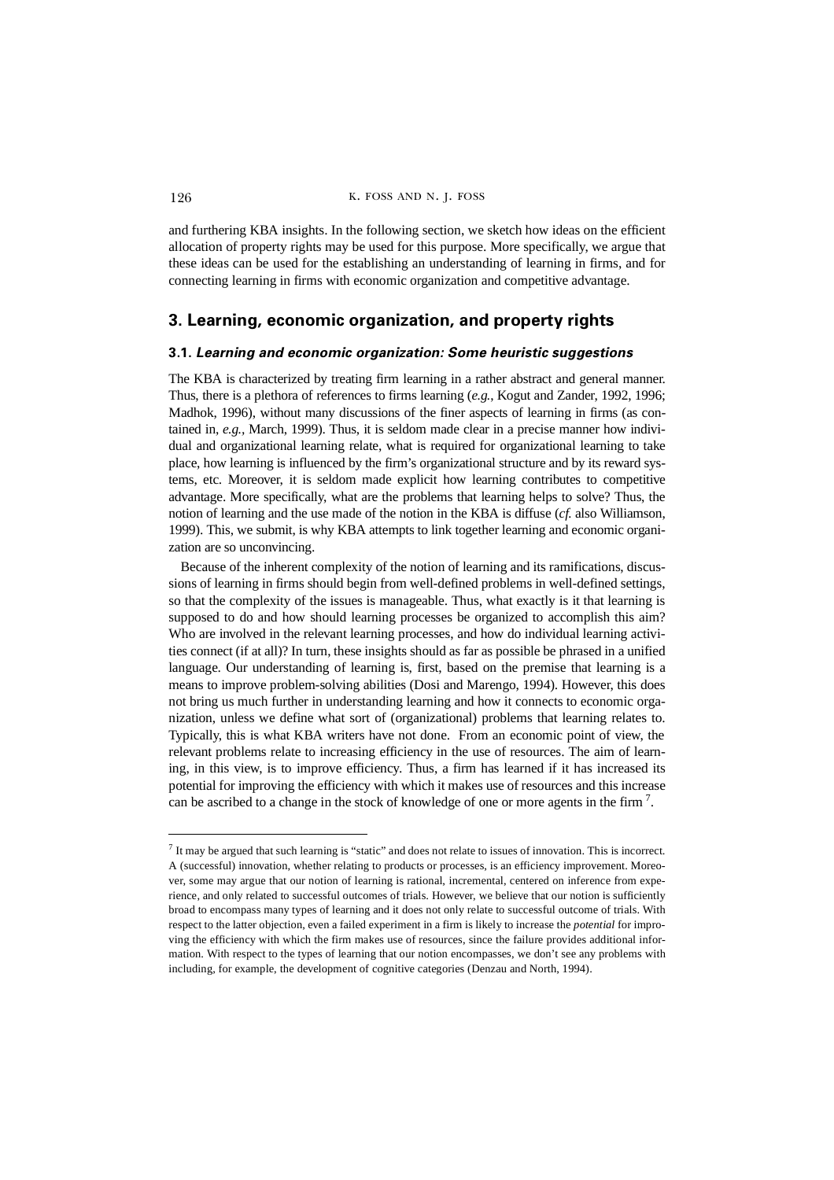and furthering KBA insights. In the following section, we sketch how ideas on the efficient allocation of property rights may be used for this purpose. More specifically, we argue that these ideas can be used for the establishing an understanding of learning in firms, and for connecting learning in firms with economic organization and competitive advantage.

# **3. Learning, economic organization, and property rights**

## **3.1.** *Learning and economic organization: Some heuristic suggestions*

The KBA is characterized by treating firm learning in a rather abstract and general manner. Thus, there is a plethora of references to firms learning (*e.g.*, Kogut and Zander, 1992, 1996; Madhok, 1996), without many discussions of the finer aspects of learning in firms (as contained in, *e.g.,* March, 1999). Thus, it is seldom made clear in a precise manner how individual and organizational learning relate, what is required for organizational learning to take place, how learning is influenced by the firm's organizational structure and by its reward systems, etc. Moreover, it is seldom made explicit how learning contributes to competitive advantage. More specifically, what are the problems that learning helps to solve? Thus, the notion of learning and the use made of the notion in the KBA is diffuse (*cf.* also Williamson, 1999). This, we submit, is why KBA attempts to link together learning and economic organization are so unconvincing.

Because of the inherent complexity of the notion of learning and its ramifications, discussions of learning in firms should begin from well-defined problems in well-defined settings, so that the complexity of the issues is manageable. Thus, what exactly is it that learning is supposed to do and how should learning processes be organized to accomplish this aim? Who are involved in the relevant learning processes, and how do individual learning activities connect (if at all)? In turn, these insights should as far as possible be phrased in a unified language. Our understanding of learning is, first, based on the premise that learning is a means to improve problem-solving abilities (Dosi and Marengo, 1994). However, this does not bring us much further in understanding learning and how it connects to economic organization, unless we define what sort of (organizational) problems that learning relates to. Typically, this is what KBA writers have not done. From an economic point of view, the relevant problems relate to increasing efficiency in the use of resources. The aim of learning, in this view, is to improve efficiency. Thus, a firm has learned if it has increased its potential for improving the efficiency with which it makes use of resources and this increase can be ascribed to a change in the stock of knowledge of one or more agents in the firm  $^7$ .

<sup>7</sup> It may be argued that such learning is "static" and does not relate to issues of innovation. This is incorrect. A (successful) innovation, whether relating to products or processes, is an efficiency improvement. Moreover, some may argue that our notion of learning is rational, incremental, centered on inference from experience, and only related to successful outcomes of trials. However, we believe that our notion is sufficiently broad to encompass many types of learning and it does not only relate to successful outcome of trials. With respect to the latter objection, even a failed experiment in a firm is likely to increase the *potential* for improving the efficiency with which the firm makes use of resources, since the failure provides additional information. With respect to the types of learning that our notion encompasses, we don't see any problems with including, for example, the development of cognitive categories (Denzau and North, 1994).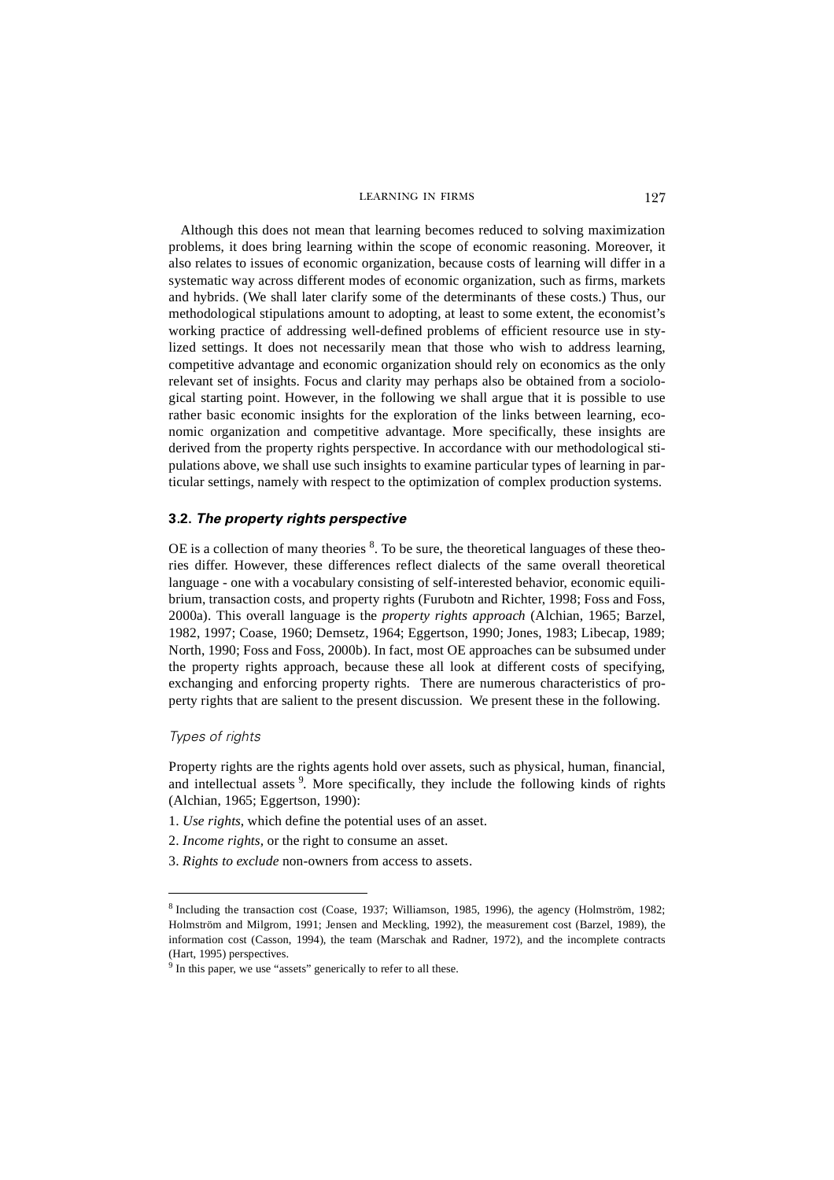Although this does not mean that learning becomes reduced to solving maximization problems, it does bring learning within the scope of economic reasoning. Moreover, it also relates to issues of economic organization, because costs of learning will differ in a systematic way across different modes of economic organization, such as firms, markets and hybrids. (We shall later clarify some of the determinants of these costs.) Thus, our methodological stipulations amount to adopting, at least to some extent, the economist's working practice of addressing well-defined problems of efficient resource use in stylized settings. It does not necessarily mean that those who wish to address learning, competitive advantage and economic organization should rely on economics as the only relevant set of insights. Focus and clarity may perhaps also be obtained from a sociological starting point. However, in the following we shall argue that it is possible to use rather basic economic insights for the exploration of the links between learning, economic organization and competitive advantage. More specifically, these insights are derived from the property rights perspective. In accordance with our methodological stipulations above, we shall use such insights to examine particular types of learning in particular settings, namely with respect to the optimization of complex production systems.

## **3.2.** *The property rights perspective*

OE is a collection of many theories  $8$ . To be sure, the theoretical languages of these theories differ. However, these differences reflect dialects of the same overall theoretical language - one with a vocabulary consisting of self-interested behavior, economic equilibrium, transaction costs, and property rights (Furubotn and Richter, 1998; Foss and Foss, 2000a). This overall language is the *property rights approach* (Alchian, 1965; Barzel, 1982, 1997; Coase, 1960; Demsetz, 1964; Eggertson, 1990; Jones, 1983; Libecap, 1989; North, 1990; Foss and Foss, 2000b). In fact, most OE approaches can be subsumed under the property rights approach, because these all look at different costs of specifying, exchanging and enforcing property rights. There are numerous characteristics of property rights that are salient to the present discussion. We present these in the following.

#### *Types of rights*

Property rights are the rights agents hold over assets, such as physical, human, financial, and intellectual assets <sup>9</sup>. More specifically, they include the following kinds of rights (Alchian, 1965; Eggertson, 1990):

- 1. *Use rights*, which define the potential uses of an asset.
- 2. *Income rights,* or the right to consume an asset.
- 3. *Rights to exclude* non-owners from access to assets.

<sup>8</sup> Including the transaction cost (Coase, 1937; Williamson, 1985, 1996), the agency (Holmström, 1982; Holmström and Milgrom, 1991; Jensen and Meckling, 1992), the measurement cost (Barzel, 1989), the information cost (Casson, 1994), the team (Marschak and Radner, 1972), and the incomplete contracts (Hart, 1995) perspectives.

<sup>&</sup>lt;sup>9</sup> In this paper, we use "assets" generically to refer to all these.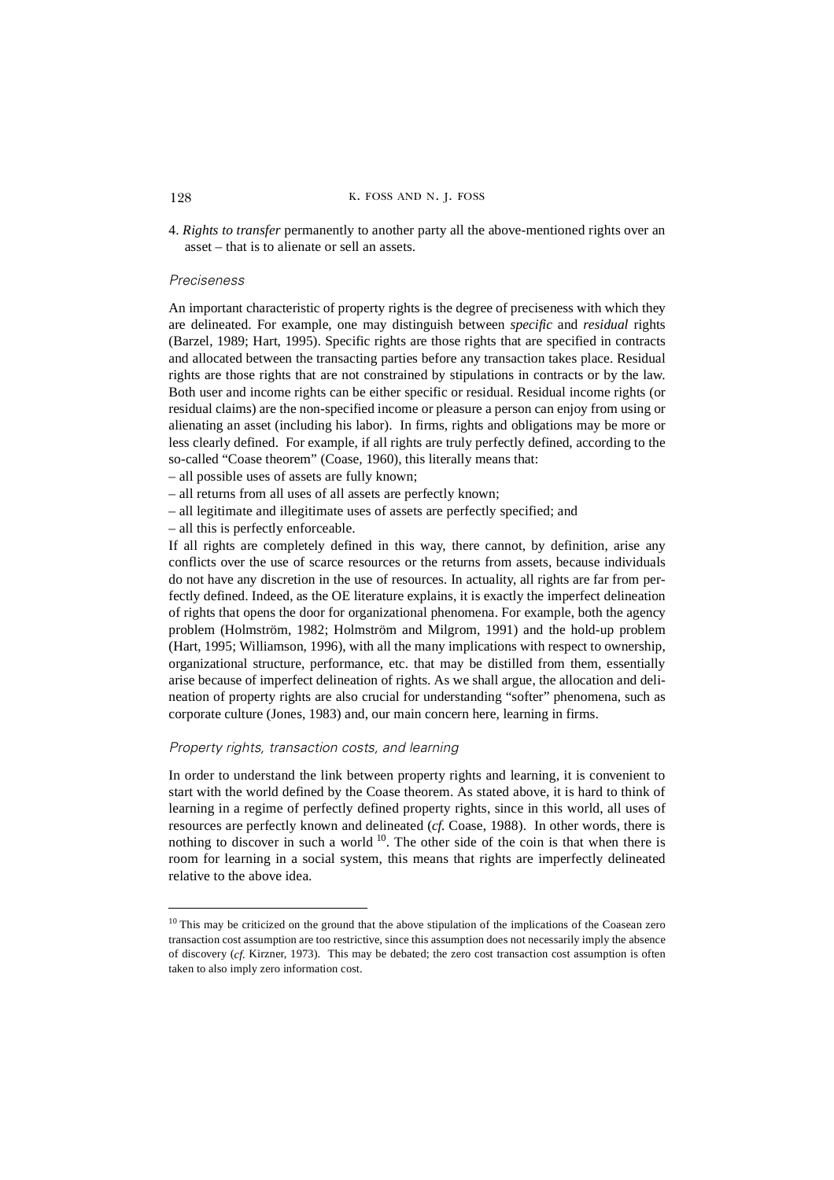4. *Rights to transfer* permanently to another party all the above-mentioned rights over an asset – that is to alienate or sell an assets.

## *Preciseness*

An important characteristic of property rights is the degree of preciseness with which they are delineated. For example, one may distinguish between *specific* and *residual* rights (Barzel, 1989; Hart, 1995). Specific rights are those rights that are specified in contracts and allocated between the transacting parties before any transaction takes place. Residual rights are those rights that are not constrained by stipulations in contracts or by the law. Both user and income rights can be either specific or residual. Residual income rights (or residual claims) are the non-specified income or pleasure a person can enjoy from using or alienating an asset (including his labor). In firms, rights and obligations may be more or less clearly defined. For example, if all rights are truly perfectly defined, according to the so-called "Coase theorem" (Coase, 1960), this literally means that:

- all possible uses of assets are fully known;
- all returns from all uses of all assets are perfectly known;
- all legitimate and illegitimate uses of assets are perfectly specified; and
- all this is perfectly enforceable.

If all rights are completely defined in this way, there cannot, by definition, arise any conflicts over the use of scarce resources or the returns from assets, because individuals do not have any discretion in the use of resources. In actuality, all rights are far from perfectly defined. Indeed, as the OE literature explains, it is exactly the imperfect delineation of rights that opens the door for organizational phenomena. For example, both the agency problem (Holmström, 1982; Holmström and Milgrom, 1991) and the hold-up problem (Hart, 1995; Williamson, 1996), with all the many implications with respect to ownership, organizational structure, performance, etc. that may be distilled from them, essentially arise because of imperfect delineation of rights. As we shall argue, the allocation and delineation of property rights are also crucial for understanding "softer" phenomena, such as corporate culture (Jones, 1983) and, our main concern here, learning in firms.

## *Property rights, transaction costs, and learning*

In order to understand the link between property rights and learning, it is convenient to start with the world defined by the Coase theorem. As stated above, it is hard to think of learning in a regime of perfectly defined property rights, since in this world, all uses of resources are perfectly known and delineated (*cf.* Coase, 1988). In other words, there is nothing to discover in such a world  $10$ . The other side of the coin is that when there is room for learning in a social system, this means that rights are imperfectly delineated relative to the above idea.

<sup>&</sup>lt;sup>10</sup> This may be criticized on the ground that the above stipulation of the implications of the Coasean zero transaction cost assumption are too restrictive, since this assumption does not necessarily imply the absence of discovery (*cf.* Kirzner, 1973). This may be debated; the zero cost transaction cost assumption is often taken to also imply zero information cost.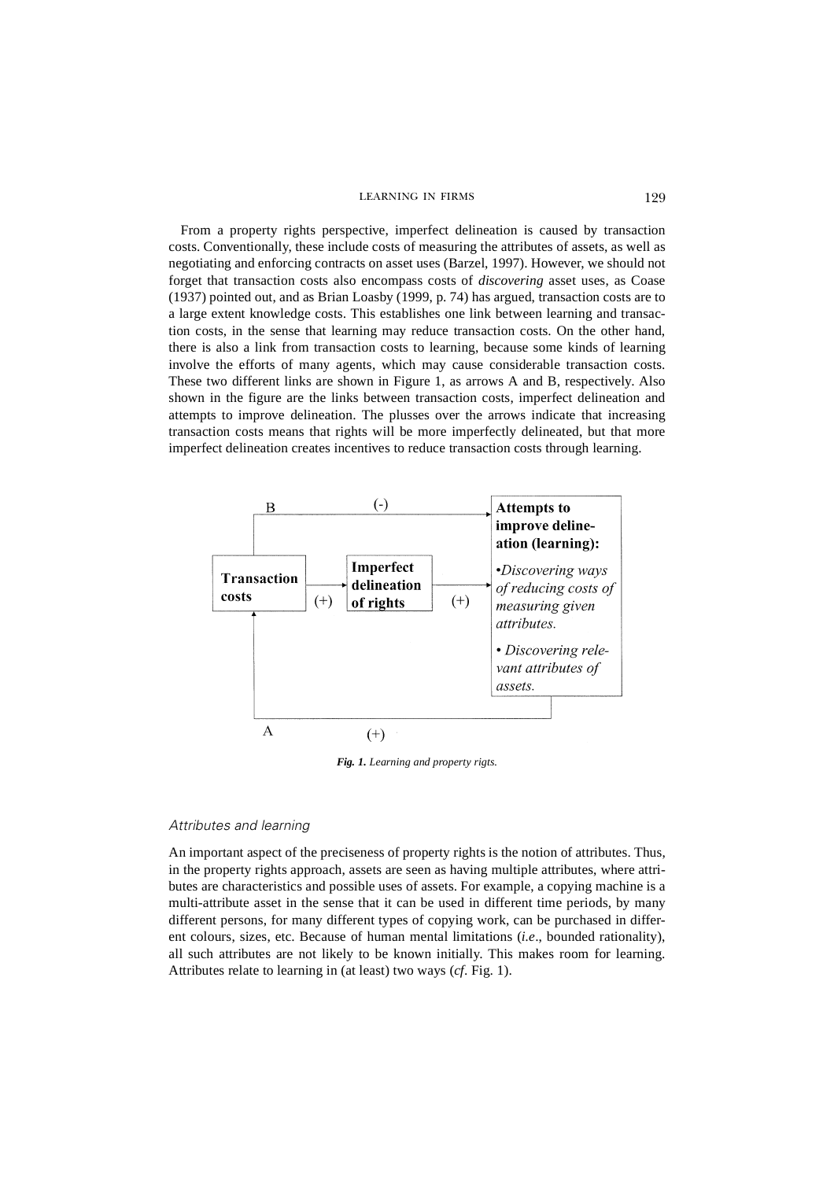From a property rights perspective, imperfect delineation is caused by transaction costs. Conventionally, these include costs of measuring the attributes of assets, as well as negotiating and enforcing contracts on asset uses (Barzel, 1997). However, we should not forget that transaction costs also encompass costs of *discovering* asset uses, as Coase (1937) pointed out, and as Brian Loasby (1999, p. 74) has argued, transaction costs are to a large extent knowledge costs. This establishes one link between learning and transaction costs, in the sense that learning may reduce transaction costs. On the other hand, there is also a link from transaction costs to learning, because some kinds of learning involve the efforts of many agents, which may cause considerable transaction costs. These two different links are shown in Figure 1, as arrows A and B, respectively. Also shown in the figure are the links between transaction costs, imperfect delineation and attempts to improve delineation. The plusses over the arrows indicate that increasing transaction costs means that rights will be more imperfectly delineated, but that more imperfect delineation creates incentives to reduce transaction costs through learning.



*Fig. 1. Learning and property rigts.*

#### *Attributes and learning*

An important aspect of the preciseness of property rights is the notion of attributes. Thus, in the property rights approach, assets are seen as having multiple attributes, where attributes are characteristics and possible uses of assets. For example, a copying machine is a multi-attribute asset in the sense that it can be used in different time periods, by many different persons, for many different types of copying work, can be purchased in different colours, sizes, etc. Because of human mental limitations (*i.e*., bounded rationality), all such attributes are not likely to be known initially. This makes room for learning. Attributes relate to learning in (at least) two ways (*cf*. Fig. 1).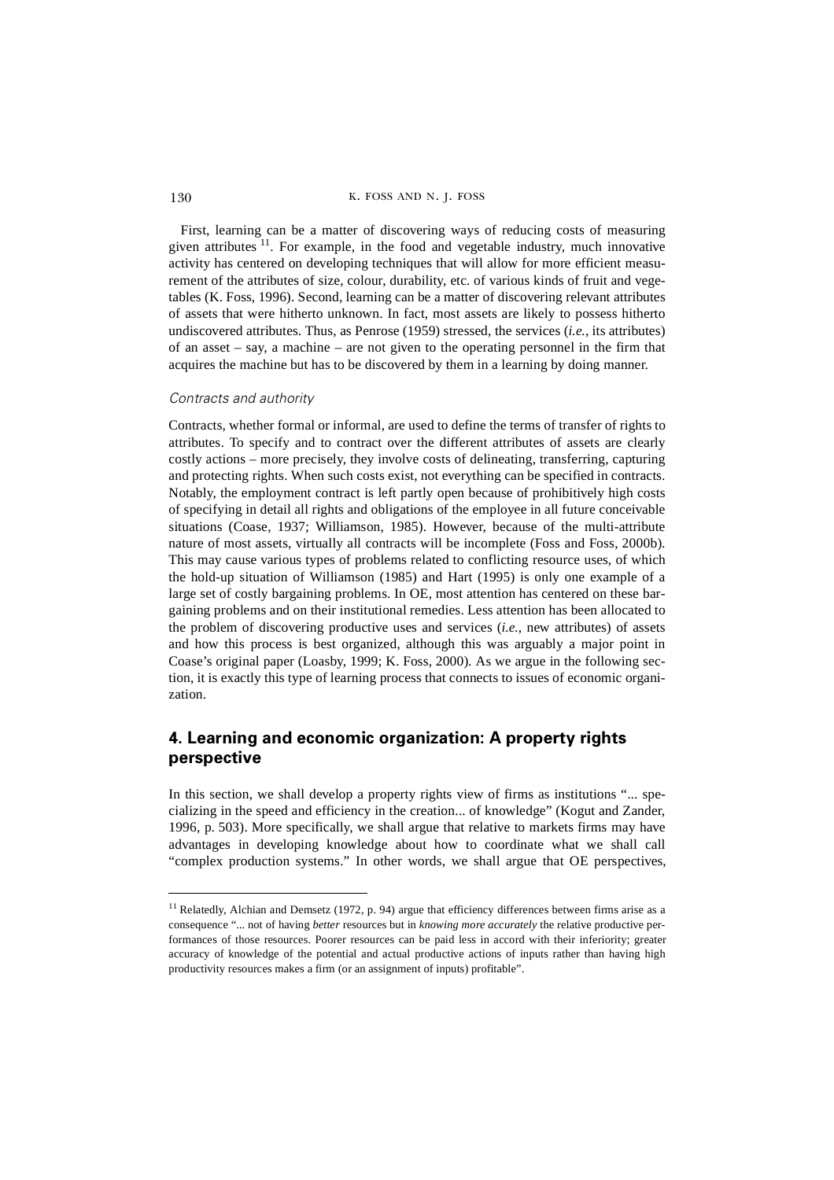130 K. FOSS AND N. J. FOSS

First, learning can be a matter of discovering ways of reducing costs of measuring given attributes  $11$ . For example, in the food and vegetable industry, much innovative activity has centered on developing techniques that will allow for more efficient measurement of the attributes of size, colour, durability, etc. of various kinds of fruit and vegetables (K. Foss, 1996). Second, learning can be a matter of discovering relevant attributes of assets that were hitherto unknown. In fact, most assets are likely to possess hitherto undiscovered attributes. Thus, as Penrose (1959) stressed, the services (*i.e.*, its attributes) of an asset – say, a machine – are not given to the operating personnel in the firm that acquires the machine but has to be discovered by them in a learning by doing manner.

## *Contracts and authority*

Contracts, whether formal or informal, are used to define the terms of transfer of rights to attributes. To specify and to contract over the different attributes of assets are clearly costly actions – more precisely, they involve costs of delineating, transferring, capturing and protecting rights. When such costs exist, not everything can be specified in contracts. Notably, the employment contract is left partly open because of prohibitively high costs of specifying in detail all rights and obligations of the employee in all future conceivable situations (Coase, 1937; Williamson, 1985). However, because of the multi-attribute nature of most assets, virtually all contracts will be incomplete (Foss and Foss, 2000b). This may cause various types of problems related to conflicting resource uses, of which the hold-up situation of Williamson (1985) and Hart (1995) is only one example of a large set of costly bargaining problems. In OE, most attention has centered on these bargaining problems and on their institutional remedies. Less attention has been allocated to the problem of discovering productive uses and services (*i.e.*, new attributes) of assets and how this process is best organized, although this was arguably a major point in Coase's original paper (Loasby, 1999; K. Foss, 2000). As we argue in the following section, it is exactly this type of learning process that connects to issues of economic organization.

# **4. Learning and economic organization: A property rights perspective**

In this section, we shall develop a property rights view of firms as institutions "... specializing in the speed and efficiency in the creation... of knowledge" (Kogut and Zander, 1996, p. 503). More specifically, we shall argue that relative to markets firms may have advantages in developing knowledge about how to coordinate what we shall call "complex production systems." In other words, we shall argue that OE perspectives,

 $11$  Relatedly, Alchian and Demsetz (1972, p. 94) argue that efficiency differences between firms arise as a consequence "... not of having *better* resources but in *knowing more accurately* the relative productive performances of those resources. Poorer resources can be paid less in accord with their inferiority; greater accuracy of knowledge of the potential and actual productive actions of inputs rather than having high productivity resources makes a firm (or an assignment of inputs) profitable".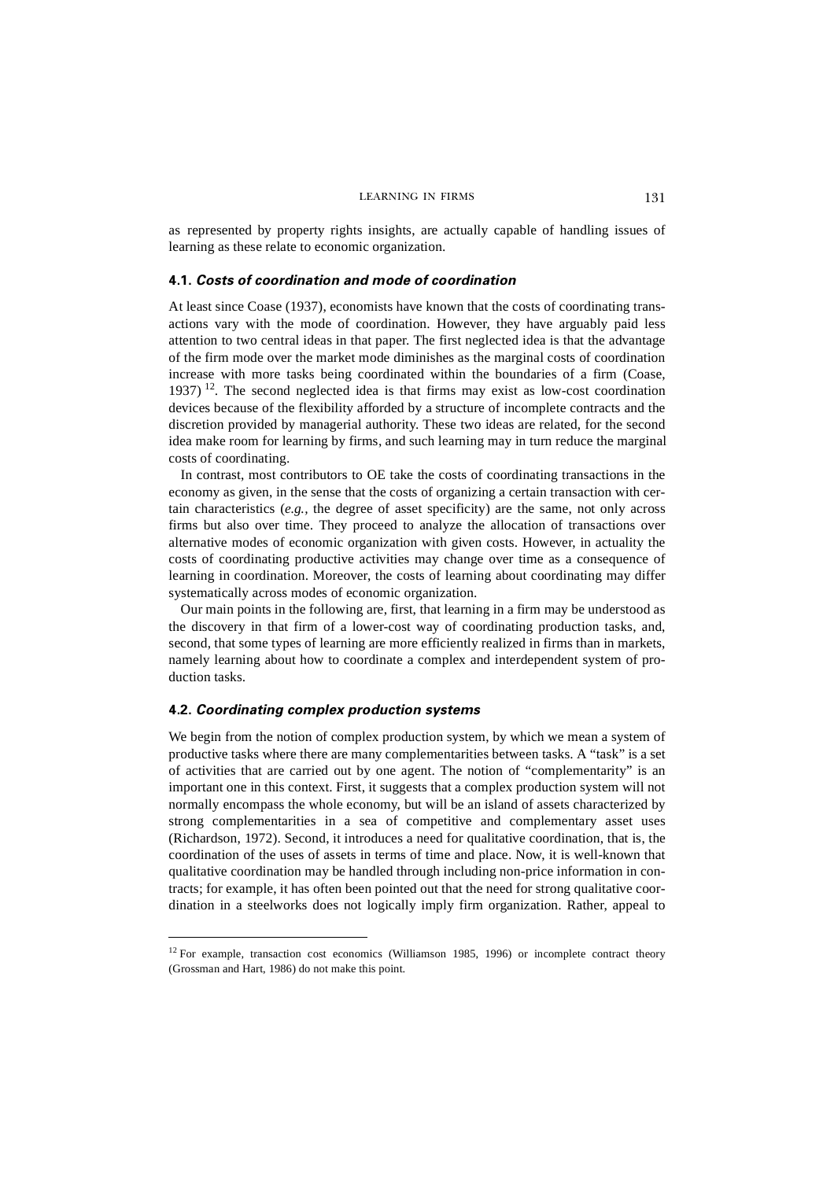as represented by property rights insights, are actually capable of handling issues of learning as these relate to economic organization.

## **4.1.** *Costs of coordination and mode of coordination*

At least since Coase (1937), economists have known that the costs of coordinating transactions vary with the mode of coordination. However, they have arguably paid less attention to two central ideas in that paper. The first neglected idea is that the advantage of the firm mode over the market mode diminishes as the marginal costs of coordination increase with more tasks being coordinated within the boundaries of a firm (Coase, 1937) <sup>12</sup>. The second neglected idea is that firms may exist as low-cost coordination devices because of the flexibility afforded by a structure of incomplete contracts and the discretion provided by managerial authority. These two ideas are related, for the second idea make room for learning by firms, and such learning may in turn reduce the marginal costs of coordinating.

In contrast, most contributors to OE take the costs of coordinating transactions in the economy as given, in the sense that the costs of organizing a certain transaction with certain characteristics (*e.g.,* the degree of asset specificity) are the same, not only across firms but also over time. They proceed to analyze the allocation of transactions over alternative modes of economic organization with given costs. However, in actuality the costs of coordinating productive activities may change over time as a consequence of learning in coordination. Moreover, the costs of learning about coordinating may differ systematically across modes of economic organization.

Our main points in the following are, first, that learning in a firm may be understood as the discovery in that firm of a lower-cost way of coordinating production tasks, and, second, that some types of learning are more efficiently realized in firms than in markets, namely learning about how to coordinate a complex and interdependent system of production tasks.

## **4.2.** *Coordinating complex production systems*

We begin from the notion of complex production system, by which we mean a system of productive tasks where there are many complementarities between tasks. A "task" is a set of activities that are carried out by one agent. The notion of "complementarity" is an important one in this context. First, it suggests that a complex production system will not normally encompass the whole economy, but will be an island of assets characterized by strong complementarities in a sea of competitive and complementary asset uses (Richardson, 1972). Second, it introduces a need for qualitative coordination, that is, the coordination of the uses of assets in terms of time and place. Now, it is well-known that qualitative coordination may be handled through including non-price information in contracts; for example, it has often been pointed out that the need for strong qualitative coordination in a steelworks does not logically imply firm organization. Rather, appeal to

 $12$  For example, transaction cost economics (Williamson 1985, 1996) or incomplete contract theory (Grossman and Hart, 1986) do not make this point.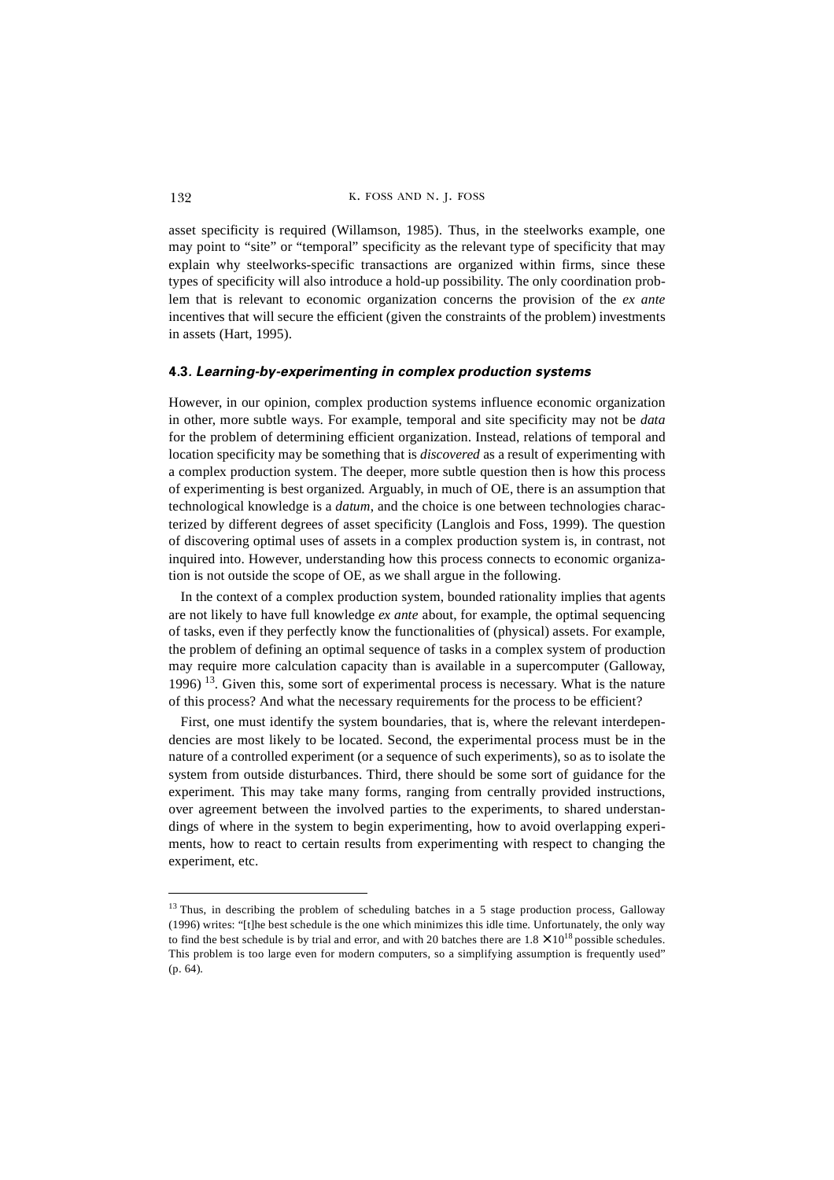asset specificity is required (Willamson, 1985). Thus, in the steelworks example, one may point to "site" or "temporal" specificity as the relevant type of specificity that may explain why steelworks-specific transactions are organized within firms, since these types of specificity will also introduce a hold-up possibility. The only coordination problem that is relevant to economic organization concerns the provision of the *ex ante* incentives that will secure the efficient (given the constraints of the problem) investments in assets (Hart, 1995).

## **4.3***. Learning-by-experimenting in complex production systems*

However, in our opinion, complex production systems influence economic organization in other, more subtle ways. For example, temporal and site specificity may not be *data* for the problem of determining efficient organization. Instead, relations of temporal and location specificity may be something that is *discovered* as a result of experimenting with a complex production system. The deeper, more subtle question then is how this process of experimenting is best organized. Arguably, in much of OE, there is an assumption that technological knowledge is a *datum*, and the choice is one between technologies characterized by different degrees of asset specificity (Langlois and Foss, 1999). The question of discovering optimal uses of assets in a complex production system is, in contrast, not inquired into. However, understanding how this process connects to economic organization is not outside the scope of OE, as we shall argue in the following.

In the context of a complex production system, bounded rationality implies that agents are not likely to have full knowledge *ex ante* about, for example, the optimal sequencing of tasks, even if they perfectly know the functionalities of (physical) assets. For example, the problem of defining an optimal sequence of tasks in a complex system of production may require more calculation capacity than is available in a supercomputer (Galloway, 1996)  $13$ . Given this, some sort of experimental process is necessary. What is the nature of this process? And what the necessary requirements for the process to be efficient?

First, one must identify the system boundaries, that is, where the relevant interdependencies are most likely to be located. Second, the experimental process must be in the nature of a controlled experiment (or a sequence of such experiments), so as to isolate the system from outside disturbances. Third, there should be some sort of guidance for the experiment. This may take many forms, ranging from centrally provided instructions, over agreement between the involved parties to the experiments, to shared understandings of where in the system to begin experimenting, how to avoid overlapping experiments, how to react to certain results from experimenting with respect to changing the experiment, etc.

<sup>&</sup>lt;sup>13</sup> Thus, in describing the problem of scheduling batches in a 5 stage production process, Galloway (1996) writes: "[t]he best schedule is the one which minimizes this idle time. Unfortunately, the only way to find the best schedule is by trial and error, and with 20 batches there are  $1.8 \times 10^{18}$  possible schedules. This problem is too large even for modern computers, so a simplifying assumption is frequently used" (p. 64).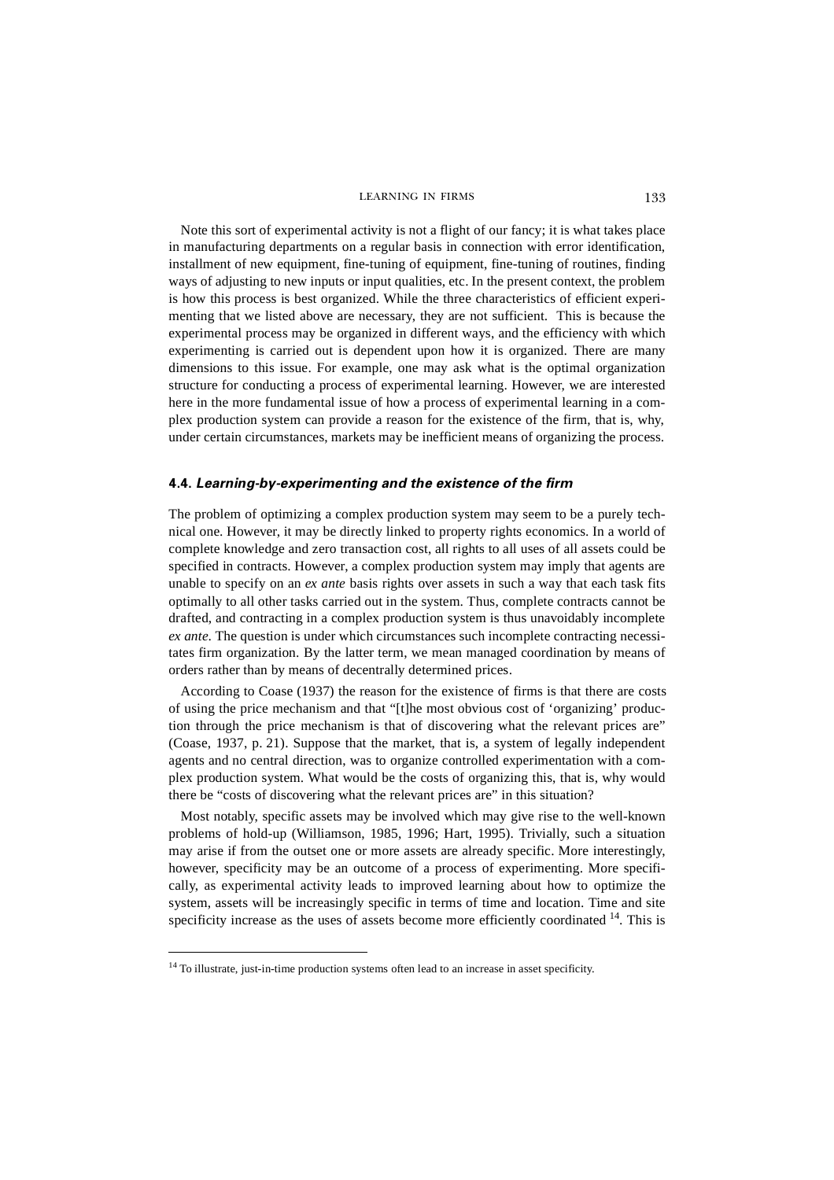Note this sort of experimental activity is not a flight of our fancy; it is what takes place in manufacturing departments on a regular basis in connection with error identification, installment of new equipment, fine-tuning of equipment, fine-tuning of routines, finding ways of adjusting to new inputs or input qualities, etc. In the present context, the problem is how this process is best organized. While the three characteristics of efficient experimenting that we listed above are necessary, they are not sufficient. This is because the experimental process may be organized in different ways, and the efficiency with which experimenting is carried out is dependent upon how it is organized. There are many dimensions to this issue. For example, one may ask what is the optimal organization structure for conducting a process of experimental learning. However, we are interested here in the more fundamental issue of how a process of experimental learning in a complex production system can provide a reason for the existence of the firm, that is, why, under certain circumstances, markets may be inefficient means of organizing the process.

#### **4.4.** *Learning-by-experimenting and the existence of the firm*

The problem of optimizing a complex production system may seem to be a purely technical one. However, it may be directly linked to property rights economics. In a world of complete knowledge and zero transaction cost, all rights to all uses of all assets could be specified in contracts. However, a complex production system may imply that agents are unable to specify on an *ex ante* basis rights over assets in such a way that each task fits optimally to all other tasks carried out in the system. Thus, complete contracts cannot be drafted, and contracting in a complex production system is thus unavoidably incomplete *ex ante*. The question is under which circumstances such incomplete contracting necessitates firm organization. By the latter term, we mean managed coordination by means of orders rather than by means of decentrally determined prices.

According to Coase (1937) the reason for the existence of firms is that there are costs of using the price mechanism and that "[t]he most obvious cost of 'organizing' production through the price mechanism is that of discovering what the relevant prices are" (Coase, 1937, p. 21). Suppose that the market, that is, a system of legally independent agents and no central direction, was to organize controlled experimentation with a complex production system. What would be the costs of organizing this, that is, why would there be "costs of discovering what the relevant prices are" in this situation?

Most notably, specific assets may be involved which may give rise to the well-known problems of hold-up (Williamson, 1985, 1996; Hart, 1995). Trivially, such a situation may arise if from the outset one or more assets are already specific. More interestingly, however, specificity may be an outcome of a process of experimenting. More specifically, as experimental activity leads to improved learning about how to optimize the system, assets will be increasingly specific in terms of time and location. Time and site specificity increase as the uses of assets become more efficiently coordinated  $14$ . This is

<sup>&</sup>lt;sup>14</sup> To illustrate, just-in-time production systems often lead to an increase in asset specificity.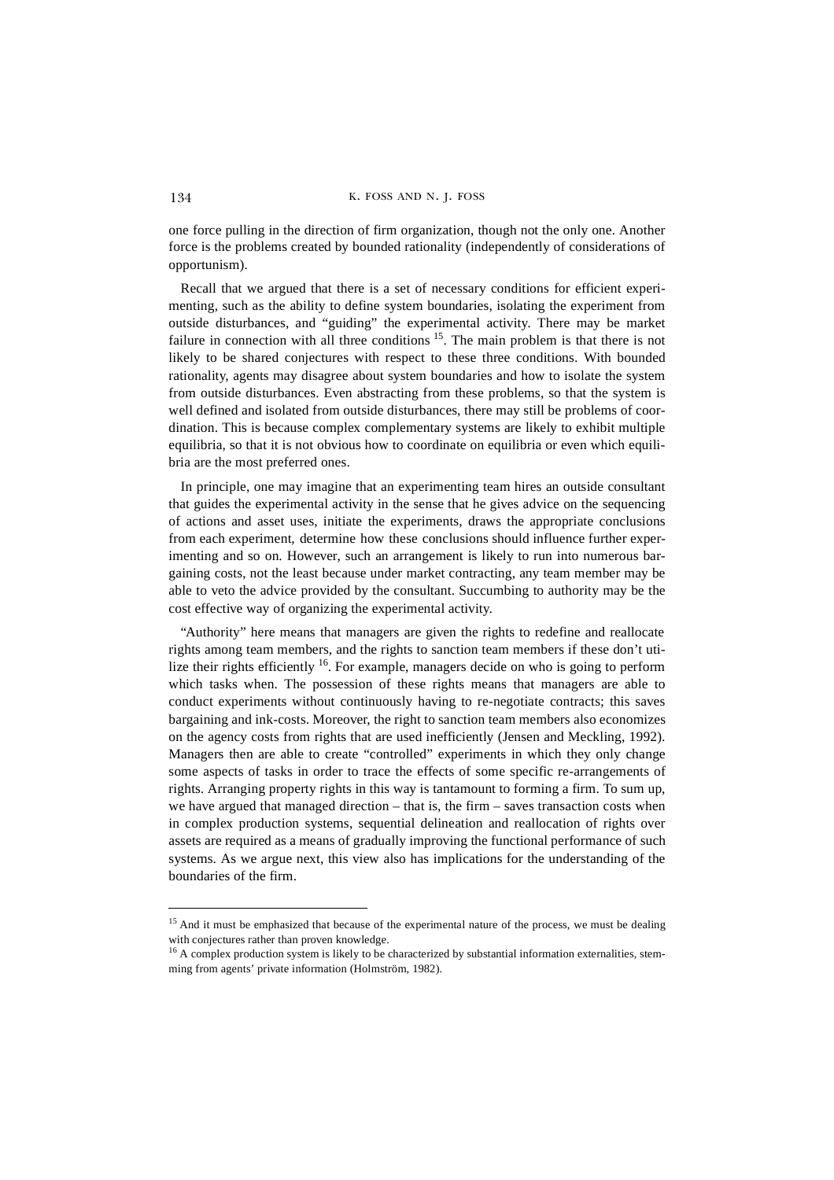one force pulling in the direction of firm organization, though not the only one. Another force is the problems created by bounded rationality (independently of considerations of opportunism).

Recall that we argued that there is a set of necessary conditions for efficient experimenting, such as the ability to define system boundaries, isolating the experiment from outside disturbances, and "guiding" the experimental activity. There may be market failure in connection with all three conditions  $1<sup>5</sup>$ . The main problem is that there is not likely to be shared conjectures with respect to these three conditions. With bounded rationality, agents may disagree about system boundaries and how to isolate the system from outside disturbances. Even abstracting from these problems, so that the system is well defined and isolated from outside disturbances, there may still be problems of coordination. This is because complex complementary systems are likely to exhibit multiple equilibria, so that it is not obvious how to coordinate on equilibria or even which equilibria are the most preferred ones.

In principle, one may imagine that an experimenting team hires an outside consultant that guides the experimental activity in the sense that he gives advice on the sequencing of actions and asset uses, initiate the experiments, draws the appropriate conclusions from each experiment, determine how these conclusions should influence further experimenting and so on. However, such an arrangement is likely to run into numerous bargaining costs, not the least because under market contracting, any team member may be able to veto the advice provided by the consultant. Succumbing to authority may be the cost effective way of organizing the experimental activity.

"Authority" here means that managers are given the rights to redefine and reallocate rights among team members, and the rights to sanction team members if these don't utilize their rights efficiently  $16$ . For example, managers decide on who is going to perform which tasks when. The possession of these rights means that managers are able to conduct experiments without continuously having to re-negotiate contracts; this saves bargaining and ink-costs. Moreover, the right to sanction team members also economizes on the agency costs from rights that are used inefficiently (Jensen and Meckling, 1992). Managers then are able to create "controlled" experiments in which they only change some aspects of tasks in order to trace the effects of some specific re-arrangements of rights. Arranging property rights in this way is tantamount to forming a firm. To sum up, we have argued that managed direction – that is, the firm – saves transaction costs when in complex production systems, sequential delineation and reallocation of rights over assets are required as a means of gradually improving the functional performance of such systems. As we argue next, this view also has implications for the understanding of the boundaries of the firm.

<sup>&</sup>lt;sup>15</sup> And it must be emphasized that because of the experimental nature of the process, we must be dealing with conjectures rather than proven knowledge.

 $16$  A complex production system is likely to be characterized by substantial information externalities, stemming from agents' private information (Holmström, 1982).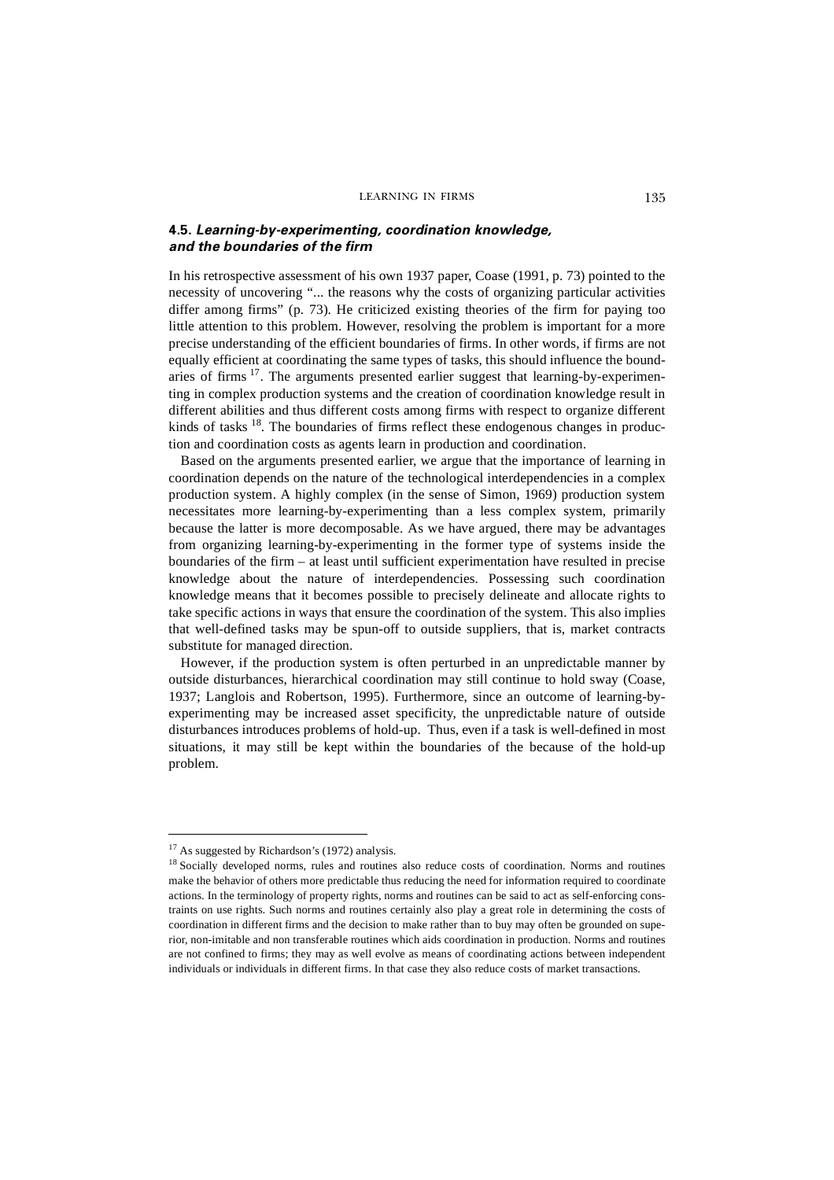## **4.5.** *Learning-by-experimenting, coordination knowledge, and the boundaries of the firm*

In his retrospective assessment of his own 1937 paper, Coase (1991, p. 73) pointed to the necessity of uncovering "... the reasons why the costs of organizing particular activities differ among firms" (p. 73). He criticized existing theories of the firm for paying too little attention to this problem. However, resolving the problem is important for a more precise understanding of the efficient boundaries of firms. In other words, if firms are not equally efficient at coordinating the same types of tasks, this should influence the boundaries of firms  $17$ . The arguments presented earlier suggest that learning-by-experimenting in complex production systems and the creation of coordination knowledge result in different abilities and thus different costs among firms with respect to organize different kinds of tasks <sup>18</sup>. The boundaries of firms reflect these endogenous changes in production and coordination costs as agents learn in production and coordination.

Based on the arguments presented earlier, we argue that the importance of learning in coordination depends on the nature of the technological interdependencies in a complex production system. A highly complex (in the sense of Simon, 1969) production system necessitates more learning-by-experimenting than a less complex system, primarily because the latter is more decomposable. As we have argued, there may be advantages from organizing learning-by-experimenting in the former type of systems inside the boundaries of the firm – at least until sufficient experimentation have resulted in precise knowledge about the nature of interdependencies. Possessing such coordination knowledge means that it becomes possible to precisely delineate and allocate rights to take specific actions in ways that ensure the coordination of the system. This also implies that well-defined tasks may be spun-off to outside suppliers, that is, market contracts substitute for managed direction.

However, if the production system is often perturbed in an unpredictable manner by outside disturbances, hierarchical coordination may still continue to hold sway (Coase, 1937; Langlois and Robertson, 1995). Furthermore, since an outcome of learning-byexperimenting may be increased asset specificity, the unpredictable nature of outside disturbances introduces problems of hold-up. Thus, even if a task is well-defined in most situations, it may still be kept within the boundaries of the because of the hold-up problem.

<sup>&</sup>lt;sup>17</sup> As suggested by Richardson's (1972) analysis.

<sup>&</sup>lt;sup>18</sup> Socially developed norms, rules and routines also reduce costs of coordination. Norms and routines make the behavior of others more predictable thus reducing the need for information required to coordinate actions. In the terminology of property rights, norms and routines can be said to act as self-enforcing constraints on use rights. Such norms and routines certainly also play a great role in determining the costs of coordination in different firms and the decision to make rather than to buy may often be grounded on superior, non-imitable and non transferable routines which aids coordination in production. Norms and routines are not confined to firms; they may as well evolve as means of coordinating actions between independent individuals or individuals in different firms. In that case they also reduce costs of market transactions.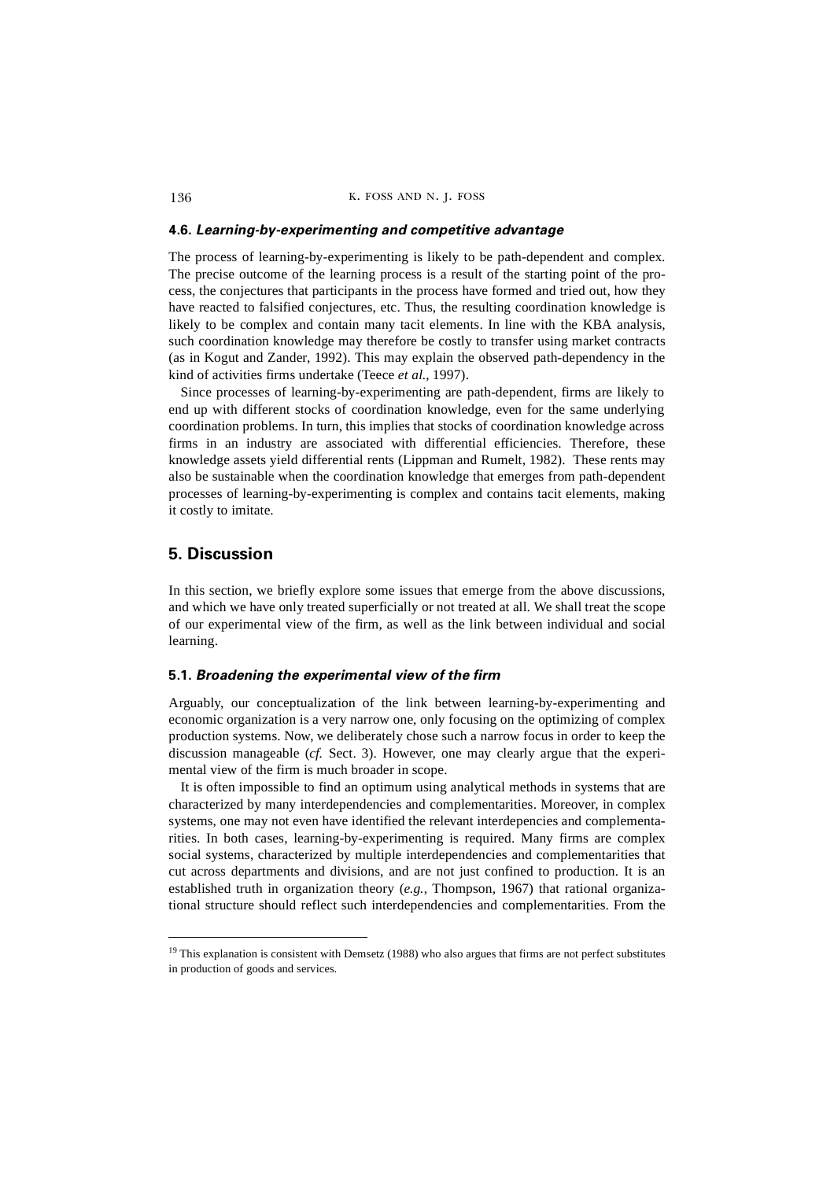#### **4.6.** *Learning-by-experimenting and competitive advantage*

The process of learning-by-experimenting is likely to be path-dependent and complex. The precise outcome of the learning process is a result of the starting point of the process, the conjectures that participants in the process have formed and tried out, how they have reacted to falsified conjectures, etc. Thus, the resulting coordination knowledge is likely to be complex and contain many tacit elements. In line with the KBA analysis, such coordination knowledge may therefore be costly to transfer using market contracts (as in Kogut and Zander, 1992). This may explain the observed path-dependency in the kind of activities firms undertake (Teece *et al.*, 1997).

Since processes of learning-by-experimenting are path-dependent, firms are likely to end up with different stocks of coordination knowledge, even for the same underlying coordination problems. In turn, this implies that stocks of coordination knowledge across firms in an industry are associated with differential efficiencies. Therefore, these knowledge assets yield differential rents (Lippman and Rumelt, 1982). These rents may also be sustainable when the coordination knowledge that emerges from path-dependent processes of learning-by-experimenting is complex and contains tacit elements, making it costly to imitate.

# **5. Discussion**

In this section, we briefly explore some issues that emerge from the above discussions, and which we have only treated superficially or not treated at all. We shall treat the scope of our experimental view of the firm, as well as the link between individual and social learning.

## **5.1.** *Broadening the experimental view of the firm*

Arguably, our conceptualization of the link between learning-by-experimenting and economic organization is a very narrow one, only focusing on the optimizing of complex production systems. Now, we deliberately chose such a narrow focus in order to keep the discussion manageable (*cf.* Sect. 3). However, one may clearly argue that the experimental view of the firm is much broader in scope.

It is often impossible to find an optimum using analytical methods in systems that are characterized by many interdependencies and complementarities. Moreover, in complex systems, one may not even have identified the relevant interdepencies and complementarities. In both cases, learning-by-experimenting is required. Many firms are complex social systems, characterized by multiple interdependencies and complementarities that cut across departments and divisions, and are not just confined to production. It is an established truth in organization theory (*e.g.*, Thompson, 1967) that rational organizational structure should reflect such interdependencies and complementarities. From the

<sup>&</sup>lt;sup>19</sup> This explanation is consistent with Demsetz (1988) who also argues that firms are not perfect substitutes in production of goods and services.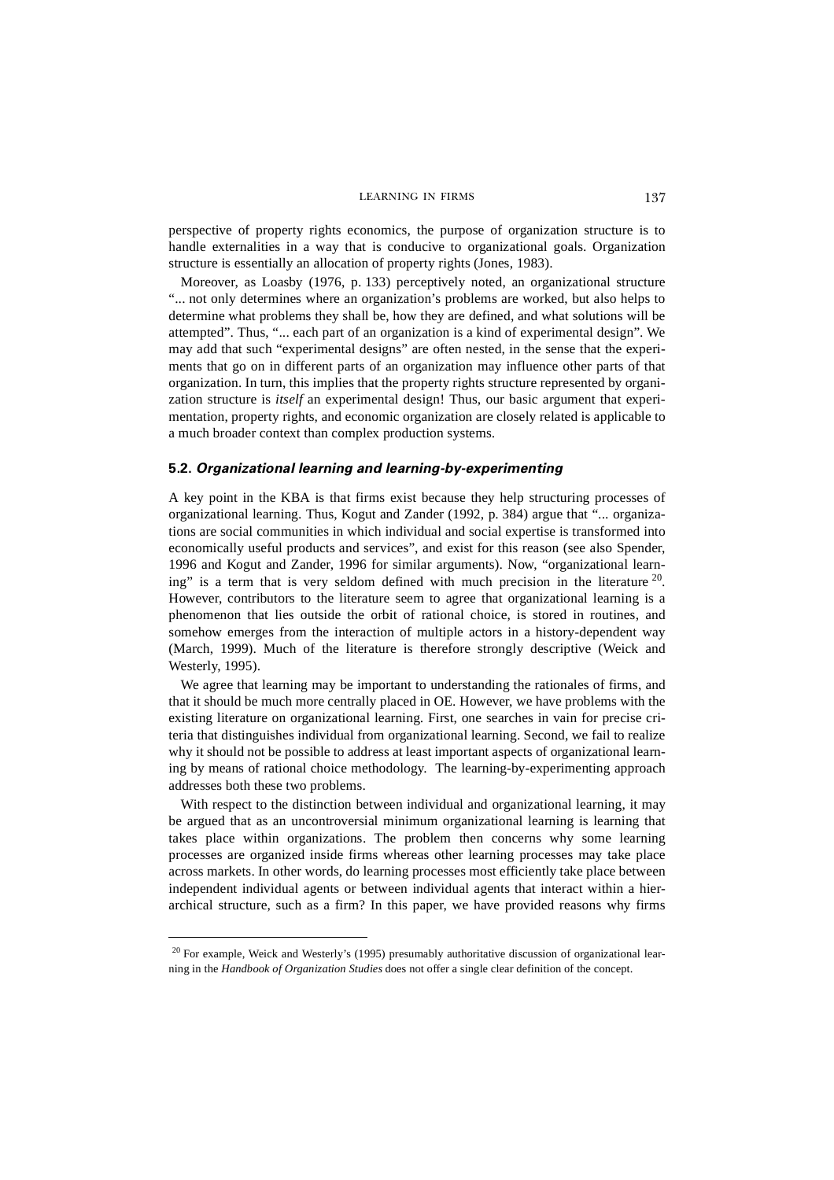perspective of property rights economics, the purpose of organization structure is to handle externalities in a way that is conducive to organizational goals. Organization structure is essentially an allocation of property rights (Jones, 1983).

Moreover, as Loasby (1976, p. 133) perceptively noted, an organizational structure "... not only determines where an organization's problems are worked, but also helps to determine what problems they shall be, how they are defined, and what solutions will be attempted". Thus, "... each part of an organization is a kind of experimental design". We may add that such "experimental designs" are often nested, in the sense that the experiments that go on in different parts of an organization may influence other parts of that organization. In turn, this implies that the property rights structure represented by organization structure is *itself* an experimental design! Thus, our basic argument that experimentation, property rights, and economic organization are closely related is applicable to a much broader context than complex production systems.

#### **5.2.** *Organizational learning and learning-by-experimenting*

A key point in the KBA is that firms exist because they help structuring processes of organizational learning. Thus, Kogut and Zander (1992, p. 384) argue that "... organizations are social communities in which individual and social expertise is transformed into economically useful products and services", and exist for this reason (see also Spender, 1996 and Kogut and Zander, 1996 for similar arguments). Now, "organizational learning" is a term that is very seldom defined with much precision in the literature  $2^0$ . However, contributors to the literature seem to agree that organizational learning is a phenomenon that lies outside the orbit of rational choice, is stored in routines, and somehow emerges from the interaction of multiple actors in a history-dependent way (March, 1999). Much of the literature is therefore strongly descriptive (Weick and Westerly, 1995).

We agree that learning may be important to understanding the rationales of firms, and that it should be much more centrally placed in OE. However, we have problems with the existing literature on organizational learning. First, one searches in vain for precise criteria that distinguishes individual from organizational learning. Second, we fail to realize why it should not be possible to address at least important aspects of organizational learning by means of rational choice methodology. The learning-by-experimenting approach addresses both these two problems.

With respect to the distinction between individual and organizational learning, it may be argued that as an uncontroversial minimum organizational learning is learning that takes place within organizations. The problem then concerns why some learning processes are organized inside firms whereas other learning processes may take place across markets. In other words, do learning processes most efficiently take place between independent individual agents or between individual agents that interact within a hierarchical structure, such as a firm? In this paper, we have provided reasons why firms

 $20$  For example, Weick and Westerly's (1995) presumably authoritative discussion of organizational learning in the *Handbook of Organization Studies* does not offer a single clear definition of the concept.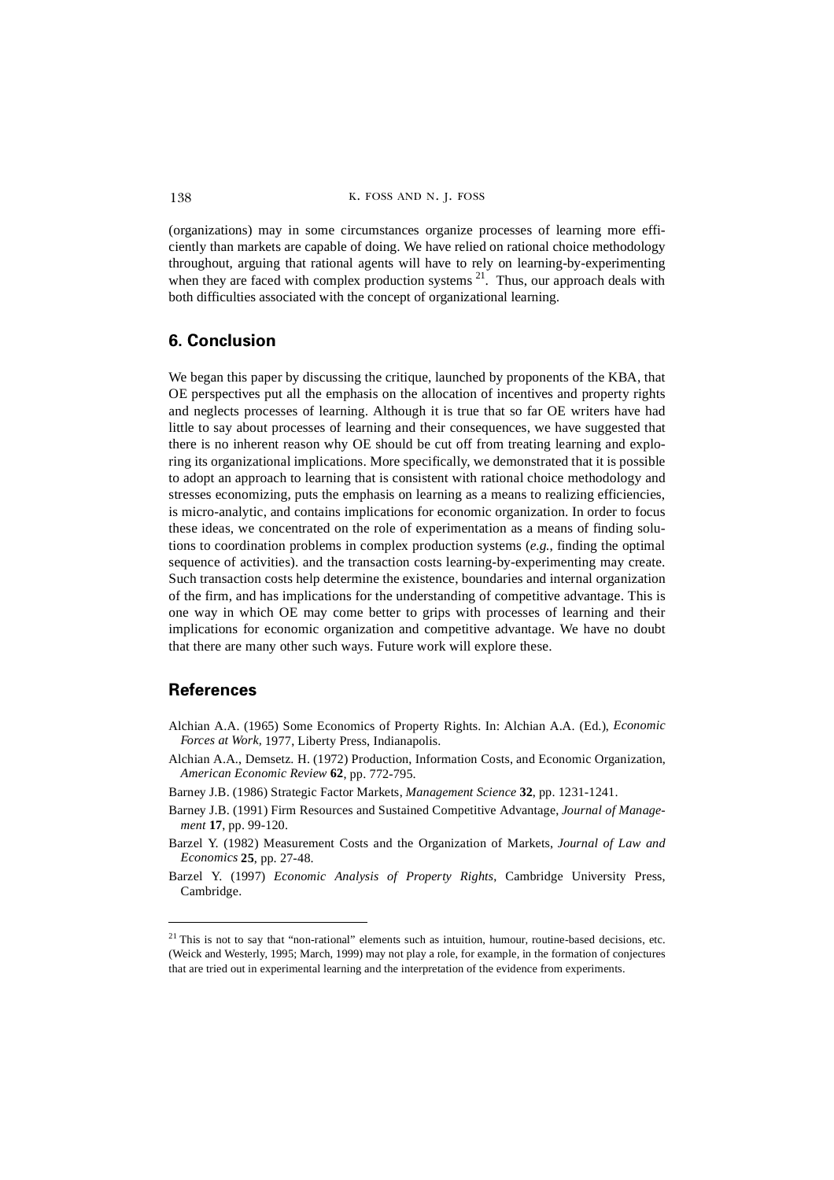(organizations) may in some circumstances organize processes of learning more efficiently than markets are capable of doing. We have relied on rational choice methodology throughout, arguing that rational agents will have to rely on learning-by-experimenting when they are faced with complex production systems  $^{21}$ . Thus, our approach deals with both difficulties associated with the concept of organizational learning.

# **6. Conclusion**

We began this paper by discussing the critique, launched by proponents of the KBA, that OE perspectives put all the emphasis on the allocation of incentives and property rights and neglects processes of learning. Although it is true that so far OE writers have had little to say about processes of learning and their consequences, we have suggested that there is no inherent reason why OE should be cut off from treating learning and exploring its organizational implications. More specifically, we demonstrated that it is possible to adopt an approach to learning that is consistent with rational choice methodology and stresses economizing, puts the emphasis on learning as a means to realizing efficiencies, is micro-analytic, and contains implications for economic organization. In order to focus these ideas, we concentrated on the role of experimentation as a means of finding solutions to coordination problems in complex production systems (*e.g.*, finding the optimal sequence of activities). and the transaction costs learning-by-experimenting may create. Such transaction costs help determine the existence, boundaries and internal organization of the firm, and has implications for the understanding of competitive advantage. This is one way in which OE may come better to grips with processes of learning and their implications for economic organization and competitive advantage. We have no doubt that there are many other such ways. Future work will explore these.

# **References**

- Alchian A.A. (1965) Some Economics of Property Rights. In: Alchian A.A. (Ed.), *Economic Forces at Work,* 1977, Liberty Press, Indianapolis.
- Alchian A.A., Demsetz. H. (1972) Production, Information Costs, and Economic Organization, *American Economic Review* **62**, pp. 772-795.
- Barney J.B. (1986) Strategic Factor Markets, *Management Science* **32**, pp. 1231-1241.
- Barney J.B. (1991) Firm Resources and Sustained Competitive Advantage, *Journal of Management* **17**, pp. 99-120.
- Barzel Y. (1982) Measurement Costs and the Organization of Markets, *Journal of Law and Economics* **25**, pp. 27-48.
- Barzel Y. (1997) *Economic Analysis of Property Rights*, Cambridge University Press, Cambridge.

 $21$  This is not to say that "non-rational" elements such as intuition, humour, routine-based decisions, etc. (Weick and Westerly, 1995; March, 1999) may not play a role, for example, in the formation of conjectures that are tried out in experimental learning and the interpretation of the evidence from experiments.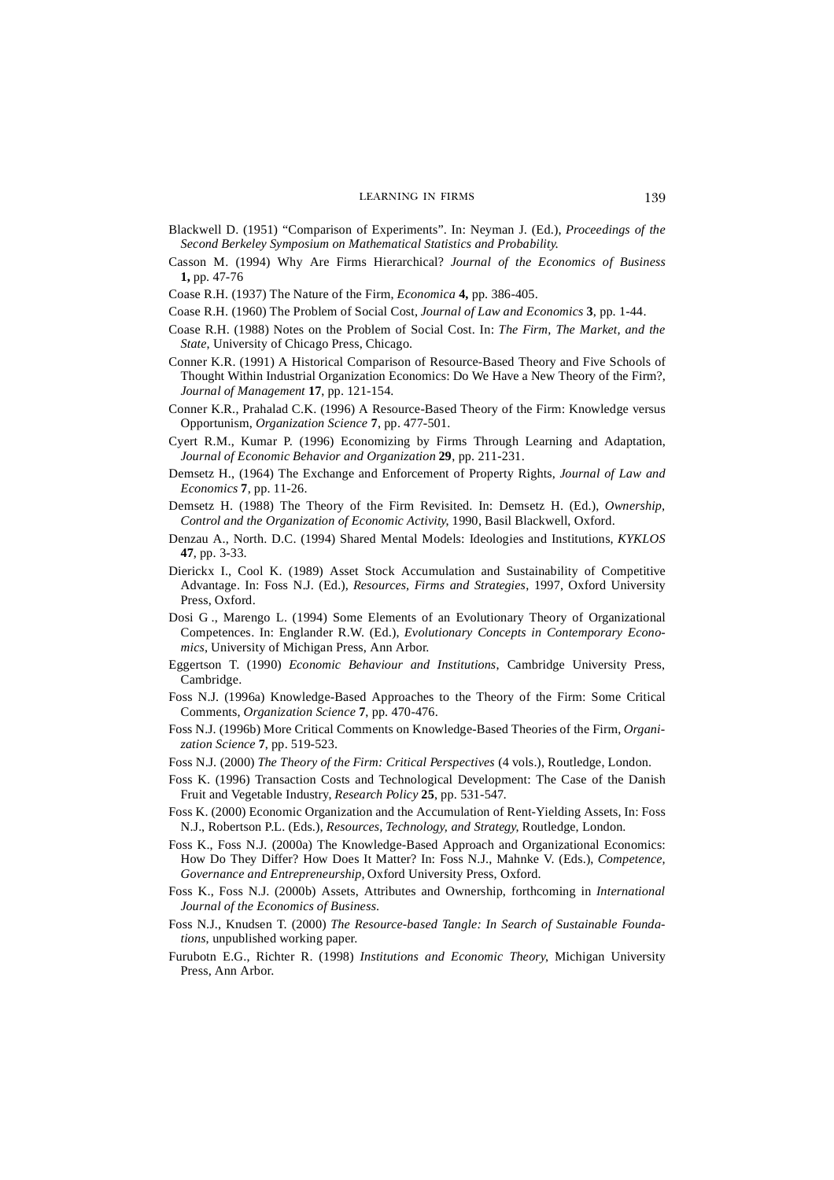- Blackwell D. (1951) "Comparison of Experiments". In: Neyman J. (Ed.), *Proceedings of the Second Berkeley Symposium on Mathematical Statistics and Probability*.
- Casson M. (1994) Why Are Firms Hierarchical? *Journal of the Economics of Business* **1,** pp. 47-76
- Coase R.H. (1937) The Nature of the Firm, *Economica* **4,** pp. 386-405.
- Coase R.H. (1960) The Problem of Social Cost, *Journal of Law and Economics* **3**, pp. 1-44.
- Coase R.H. (1988) Notes on the Problem of Social Cost. In: *The Firm, The Market, and the State*, University of Chicago Press, Chicago.
- Conner K.R. (1991) A Historical Comparison of Resource-Based Theory and Five Schools of Thought Within Industrial Organization Economics: Do We Have a New Theory of the Firm?, *Journal of Management* **17**, pp. 121-154.
- Conner K.R., Prahalad C.K. (1996) A Resource-Based Theory of the Firm: Knowledge versus Opportunism, *Organization Science* **7**, pp. 477-501.
- Cyert R.M., Kumar P. (1996) Economizing by Firms Through Learning and Adaptation, *Journal of Economic Behavior and Organization* **29**, pp. 211-231.
- Demsetz H., (1964) The Exchange and Enforcement of Property Rights, *Journal of Law and Economics* **7**, pp. 11-26.
- Demsetz H. (1988) The Theory of the Firm Revisited. In: Demsetz H. (Ed.), *Ownership, Control and the Organization of Economic Activity*, 1990, Basil Blackwell, Oxford.
- Denzau A., North. D.C. (1994) Shared Mental Models: Ideologies and Institutions, *KYKLOS* **47**, pp. 3-33.
- Dierickx I., Cool K. (1989) Asset Stock Accumulation and Sustainability of Competitive Advantage. In: Foss N.J. (Ed.), *Resources, Firms and Strategies*, 1997, Oxford University Press, Oxford.
- Dosi G ., Marengo L. (1994) Some Elements of an Evolutionary Theory of Organizational Competences. In: Englander R.W. (Ed.), *Evolutionary Concepts in Contemporary Economics*, University of Michigan Press, Ann Arbor.
- Eggertson T. (1990) *Economic Behaviour and Institutions*, Cambridge University Press, Cambridge.
- Foss N.J. (1996a) Knowledge-Based Approaches to the Theory of the Firm: Some Critical Comments, *Organization Science* **7**, pp. 470-476.
- Foss N.J. (1996b) More Critical Comments on Knowledge-Based Theories of the Firm, *Organization Science* **7**, pp. 519-523.
- Foss N.J. (2000) *The Theory of the Firm: Critical Perspectives* (4 vols.), Routledge, London.
- Foss K. (1996) Transaction Costs and Technological Development: The Case of the Danish Fruit and Vegetable Industry, *Research Policy* **25**, pp. 531-547*.*
- Foss K. (2000) Economic Organization and the Accumulation of Rent-Yielding Assets, In: Foss N.J., Robertson P.L. (Eds.), *Resources, Technology, and Strategy*, Routledge, London.
- Foss K., Foss N.J. (2000a) The Knowledge-Based Approach and Organizational Economics: How Do They Differ? How Does It Matter? In: Foss N.J., Mahnke V. (Eds.), *Competence, Governance and Entrepreneurship,* Oxford University Press, Oxford.
- Foss K., Foss N.J. (2000b) Assets, Attributes and Ownership, forthcoming in *International Journal of the Economics of Business*.
- Foss N.J., Knudsen T. (2000) *The Resource-based Tangle: In Search of Sustainable Foundations*, unpublished working paper.
- Furubotn E.G., Richter R. (1998) *Institutions and Economic Theory*, Michigan University Press, Ann Arbor.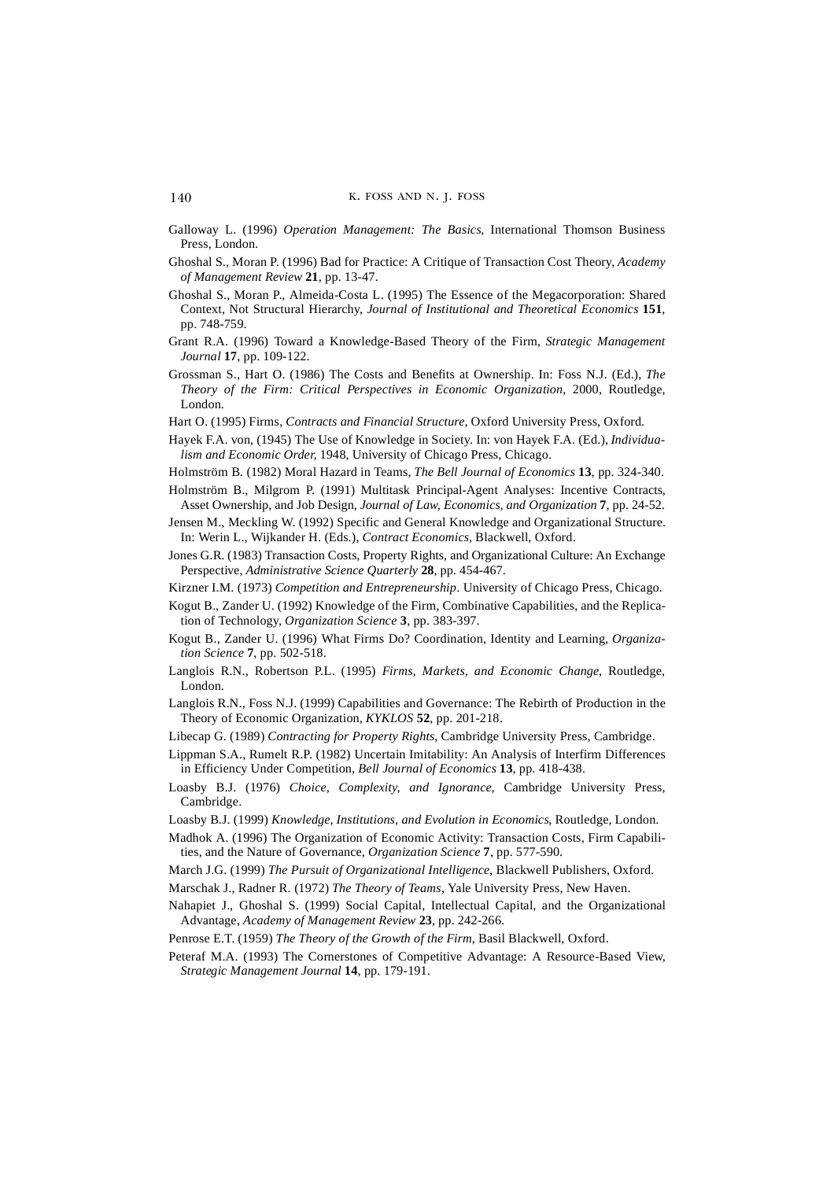- Galloway L. (1996) *Operation Management: The Basics*, International Thomson Business Press, London.
- Ghoshal S., Moran P. (1996) Bad for Practice: A Critique of Transaction Cost Theory, *Academy of Management Review* **21**, pp. 13-47.
- Ghoshal S., Moran P., Almeida-Costa L. (1995) The Essence of the Megacorporation: Shared Context, Not Structural Hierarchy, *Journal of Institutional and Theoretical Economics* **151**, pp. 748-759.
- Grant R.A. (1996) Toward a Knowledge-Based Theory of the Firm, *Strategic Management Journal* **17**, pp. 109-122.
- Grossman S., Hart O. (1986) The Costs and Benefits at Ownership. In: Foss N.J. (Ed.), *The Theory of the Firm: Critical Perspectives in Economic Organization*, 2000, Routledge, London.
- Hart O. (1995) Firms, *Contracts and Financial Structure*, Oxford University Press, Oxford.
- Hayek F.A. von, (1945) The Use of Knowledge in Society. In: von Hayek F.A. (Ed.), *Individualism and Economic Order,* 1948, University of Chicago Press, Chicago.
- Holmström B. (1982) Moral Hazard in Teams, *The Bell Journal of Economics* **13**, pp. 324-340.
- Holmström B., Milgrom P. (1991) Multitask Principal-Agent Analyses: Incentive Contracts, Asset Ownership, and Job Design, *Journal of Law, Economics, and Organization* **7**, pp. 24-52.
- Jensen M., Meckling W. (1992) Specific and General Knowledge and Organizational Structure. In: Werin L., Wijkander H. (Eds.), *Contract Economics*, Blackwell, Oxford.
- Jones G.R. (1983) Transaction Costs, Property Rights, and Organizational Culture: An Exchange Perspective, *Administrative Science Quarterly* **28**, pp. 454-467.
- Kirzner I.M. (1973) *Competition and Entrepreneurship*. University of Chicago Press, Chicago.
- Kogut B., Zander U. (1992) Knowledge of the Firm, Combinative Capabilities, and the Replication of Technology, *Organization Science* **3**, pp. 383-397.
- Kogut B., Zander U. (1996) What Firms Do? Coordination, Identity and Learning, *Organization Science* **7**, pp. 502-518.
- Langlois R.N., Robertson P.L. (1995) *Firms, Markets, and Economic Change*, Routledge, London.
- Langlois R.N., Foss N.J. (1999) Capabilities and Governance: The Rebirth of Production in the Theory of Economic Organization, *KYKLOS* **52**, pp. 201-218.
- Libecap G. (1989) *Contracting for Property Rights*, Cambridge University Press, Cambridge.
- Lippman S.A., Rumelt R.P. (1982) Uncertain Imitability: An Analysis of Interfirm Differences in Efficiency Under Competition, *Bell Journal of Economics* **13**, pp. 418-438.
- Loasby B.J. (1976) *Choice, Complexity, and Ignorance*, Cambridge University Press, Cambridge.
- Loasby B.J. (1999) *Knowledge, Institutions, and Evolution in Economics*, Routledge, London.
- Madhok A. (1996) The Organization of Economic Activity: Transaction Costs, Firm Capabilities, and the Nature of Governance, *Organization Science* **7**, pp. 577-590.
- March J.G. (1999) *The Pursuit of Organizational Intelligence*, Blackwell Publishers, Oxford.
- Marschak J., Radner R. (1972) *The Theory of Teams*, Yale University Press, New Haven.
- Nahapiet J., Ghoshal S. (1999) Social Capital, Intellectual Capital, and the Organizational Advantage, *Academy of Management Review* **23**, pp. 242-266.
- Penrose E.T. (1959) *The Theory of the Growth of the Firm*, Basil Blackwell, Oxford.
- Peteraf M.A. (1993) The Cornerstones of Competitive Advantage: A Resource-Based View, *Strategic Management Journal* **14**, pp. 179-191.